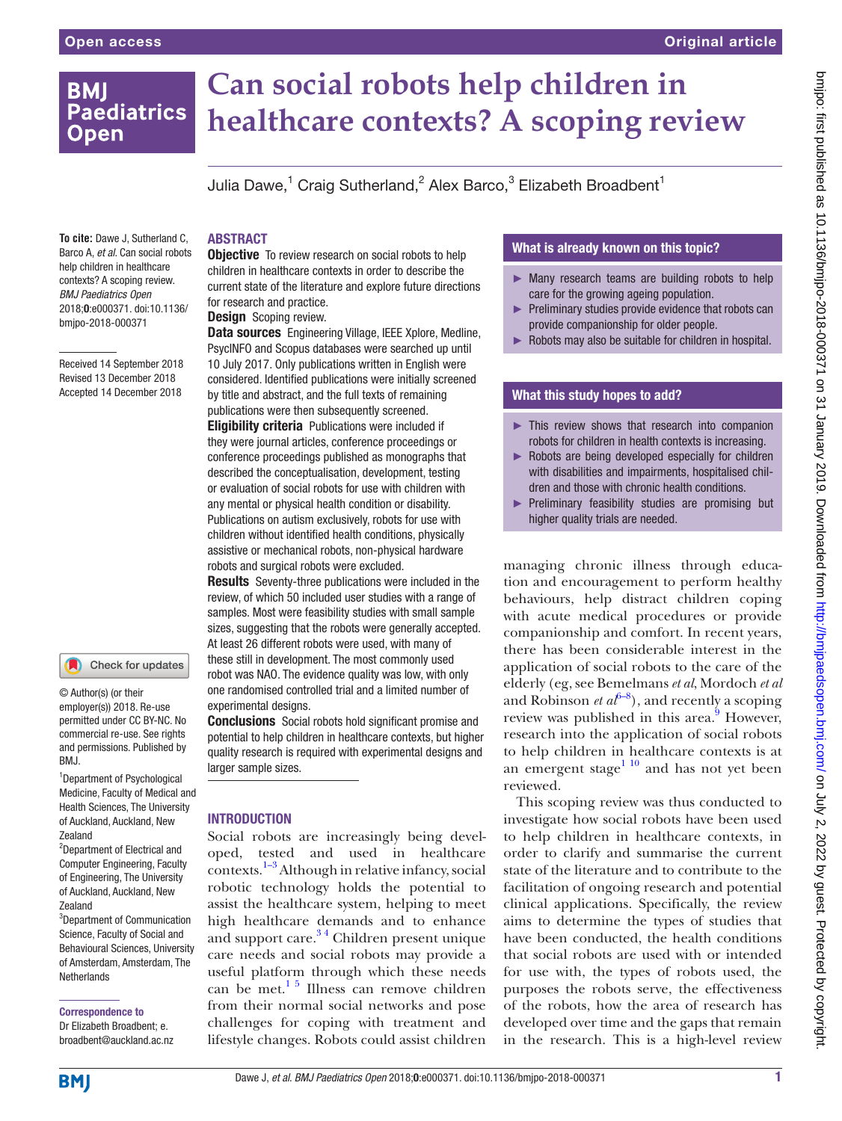**BMI** 

# **Can social robots help children in Paediatrics healthcare contexts? A scoping review Open**

Julia Dawe, $^1$  Craig Sutherland, $^2$  Alex Barco, $^3$  Elizabeth Broadbent $^1$ 

**To cite:** Dawe J, Sutherland C, Barco A, *et al*. Can social robots help children in healthcare contexts? A scoping review. *BMJ Paediatrics Open* 2018;0:e000371. doi:10.1136/ bmjpo-2018-000371

Received 14 September 2018 Revised 13 December 2018 Accepted 14 December 2018

#### Check for updates

© Author(s) (or their employer(s)) 2018. Re-use permitted under CC BY-NC. No commercial re-use. See rights and permissions. Published by BMJ.

1 Department of Psychological Medicine, Faculty of Medical and Health Sciences, The University of Auckland, Auckland, New Zealand

<sup>2</sup>Department of Electrical and Computer Engineering, Faculty of Engineering, The University of Auckland, Auckland, New Zealand

3 Department of Communication Science, Faculty of Social and Behavioural Sciences, University of Amsterdam, Amsterdam, The **Netherlands** 

Correspondence to

Dr Elizabeth Broadbent; e. broadbent@auckland.ac.nz

## **ABSTRACT**

**Objective** To review research on social robots to help children in healthcare contexts in order to describe the current state of the literature and explore future directions for research and practice.

Design Scoping review.

Data sources Engineering Village, IEEE Xplore, Medline, PsycINFO and Scopus databases were searched up until 10 July 2017. Only publications written in English were considered. Identified publications were initially screened by title and abstract, and the full texts of remaining publications were then subsequently screened.

**Eligibility criteria** Publications were included if they were journal articles, conference proceedings or conference proceedings published as monographs that described the conceptualisation, development, testing or evaluation of social robots for use with children with any mental or physical health condition or disability. Publications on autism exclusively, robots for use with children without identified health conditions, physically assistive or mechanical robots, non-physical hardware robots and surgical robots were excluded.

**Results** Seventy-three publications were included in the review, of which 50 included user studies with a range of samples. Most were feasibility studies with small sample sizes, suggesting that the robots were generally accepted. At least 26 different robots were used, with many of these still in development. The most commonly used robot was NAO. The evidence quality was low, with only one randomised controlled trial and a limited number of experimental designs.

**Conclusions** Social robots hold significant promise and potential to help children in healthcare contexts, but higher quality research is required with experimental designs and larger sample sizes.

## **INTRODUCTION**

Social robots are increasingly being developed, tested and used in healthcare  $\arccos$ <sub>1</sub>–3</sup> Although in relative infancy, social robotic technology holds the potential to assist the healthcare system, helping to meet high healthcare demands and to enhance and support care. $3<sup>4</sup>$  Children present unique care needs and social robots may provide a useful platform through which these needs can be met. $15$  Illness can remove children from their normal social networks and pose challenges for coping with treatment and lifestyle changes. Robots could assist children

## What is already known on this topic?

- ► Many research teams are building robots to help care for the growing ageing population.
- ► Preliminary studies provide evidence that robots can provide companionship for older people.
- ► Robots may also be suitable for children in hospital.

## What this study hopes to add?

- ► This review shows that research into companion robots for children in health contexts is increasing.
- $\blacktriangleright$  Robots are being developed especially for children with disabilities and impairments, hospitalised children and those with chronic health conditions.
- ► Preliminary feasibility studies are promising but higher quality trials are needed.

managing chronic illness through education and encouragement to perform healthy behaviours, help distract children coping with acute medical procedures or provide companionship and comfort. In recent years, there has been considerable interest in the application of social robots to the care of the elderly (eg, see Bemelmans *et al*, Mordoch *et al* and Robinson *et al* $^{6-8}$ ), and recently a scoping review was published in this area.<sup>[9](#page-13-3)</sup> However, research into the application of social robots to help children in healthcare contexts is at an emergent stage $1^{10}$  and has not yet been reviewed.

This scoping review was thus conducted to investigate how social robots have been used to help children in healthcare contexts, in order to clarify and summarise the current state of the literature and to contribute to the facilitation of ongoing research and potential clinical applications. Specifically, the review aims to determine the types of studies that have been conducted, the health conditions that social robots are used with or intended for use with, the types of robots used, the purposes the robots serve, the effectiveness of the robots, how the area of research has developed over time and the gaps that remain in the research. This is a high-level review

**BMJ**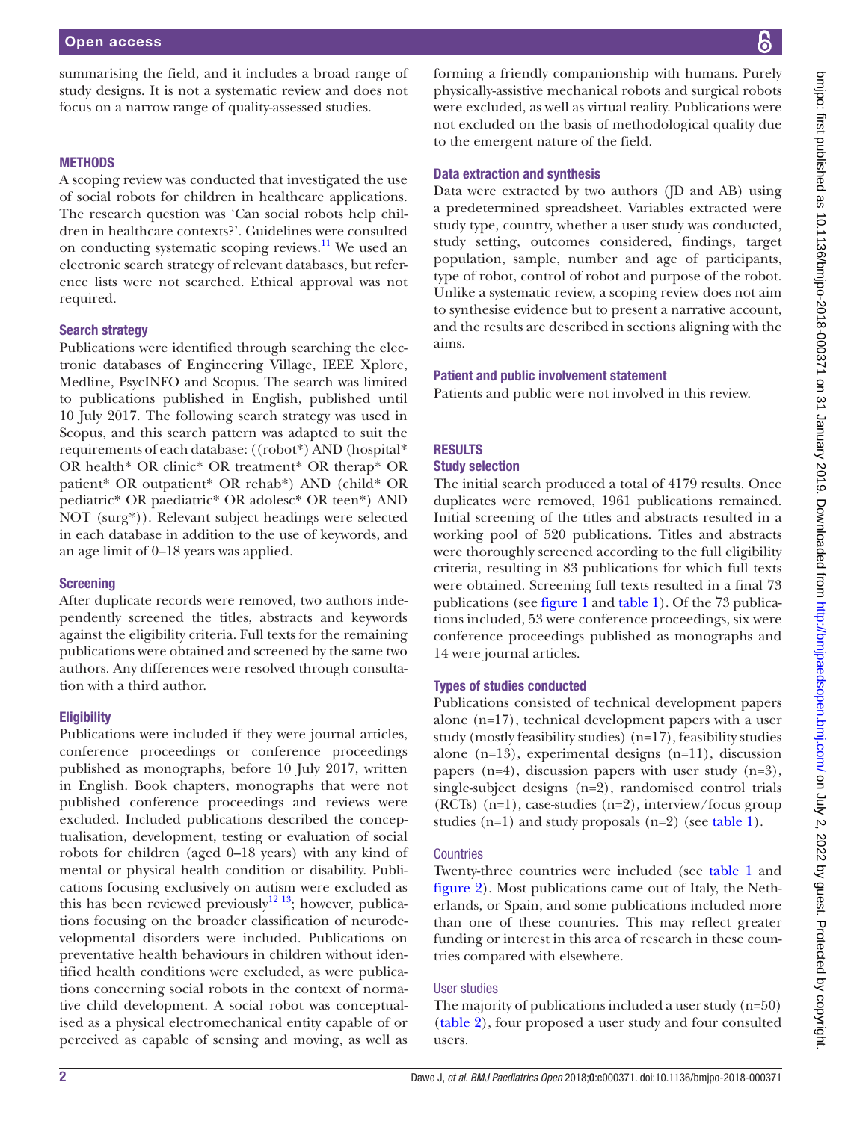summarising the field, and it includes a broad range of study designs. It is not a systematic review and does not focus on a narrow range of quality-assessed studies.

## **METHODS**

A scoping review was conducted that investigated the use of social robots for children in healthcare applications. The research question was 'Can social robots help children in healthcare contexts?'. Guidelines were consulted on conducting systematic scoping reviews.<sup>11</sup> We used an electronic search strategy of relevant databases, but reference lists were not searched. Ethical approval was not required.

## Search strategy

Publications were identified through searching the electronic databases of Engineering Village, IEEE Xplore, Medline, PsycINFO and Scopus. The search was limited to publications published in English, published until 10 July 2017. The following search strategy was used in Scopus, and this search pattern was adapted to suit the requirements of each database: ((robot\*) AND (hospital\* OR health\* OR clinic\* OR treatment\* OR therap\* OR patient\* OR outpatient\* OR rehab\*) AND (child\* OR pediatric\* OR paediatric\* OR adolesc\* OR teen\*) AND NOT (surg\*)). Relevant subject headings were selected in each database in addition to the use of keywords, and an age limit of 0–18 years was applied.

#### **Screening**

After duplicate records were removed, two authors independently screened the titles, abstracts and keywords against the eligibility criteria. Full texts for the remaining publications were obtained and screened by the same two authors. Any differences were resolved through consultation with a third author.

#### **Eligibility**

Publications were included if they were journal articles, conference proceedings or conference proceedings published as monographs, before 10 July 2017, written in English. Book chapters, monographs that were not published conference proceedings and reviews were excluded. Included publications described the conceptualisation, development, testing or evaluation of social robots for children (aged 0–18 years) with any kind of mental or physical health condition or disability. Publications focusing exclusively on autism were excluded as this has been reviewed previously<sup>[12 13](#page-13-5)</sup>; however, publications focusing on the broader classification of neurodevelopmental disorders were included. Publications on preventative health behaviours in children without identified health conditions were excluded, as were publications concerning social robots in the context of normative child development. A social robot was conceptualised as a physical electromechanical entity capable of or perceived as capable of sensing and moving, as well as

forming a friendly companionship with humans. Purely physically-assistive mechanical robots and surgical robots were excluded, as well as virtual reality. Publications were not excluded on the basis of methodological quality due to the emergent nature of the field.

#### Data extraction and synthesis

Data were extracted by two authors (JD and AB) using a predetermined spreadsheet. Variables extracted were study type, country, whether a user study was conducted, study setting, outcomes considered, findings, target population, sample, number and age of participants, type of robot, control of robot and purpose of the robot. Unlike a systematic review, a scoping review does not aim to synthesise evidence but to present a narrative account, and the results are described in sections aligning with the aims.

## Patient and public involvement statement

Patients and public were not involved in this review.

# **RESULTS**

#### Study selection

The initial search produced a total of 4179 results. Once duplicates were removed, 1961 publications remained. Initial screening of the titles and abstracts resulted in a working pool of 520 publications. Titles and abstracts were thoroughly screened according to the full eligibility criteria, resulting in 83 publications for which full texts were obtained. Screening full texts resulted in a final 73 publications (see [figure](#page-2-0) 1 and [table](#page-3-0) 1). Of the 73 publications included, 53 were conference proceedings, six were conference proceedings published as monographs and 14 were journal articles.

## Types of studies conducted

Publications consisted of technical development papers alone (n=17), technical development papers with a user study (mostly feasibility studies) (n=17), feasibility studies alone (n=13), experimental designs (n=11), discussion papers (n=4), discussion papers with user study (n=3), single-subject designs (n=2), randomised control trials (RCTs) (n=1), case-studies (n=2), interview/focus group studies  $(n=1)$  and study proposals  $(n=2)$  (see [table](#page-3-0) 1).

#### **Countries**

Twenty-three countries were included (see [table](#page-3-0) 1 and [figure](#page-6-0) 2). Most publications came out of Italy, the Netherlands, or Spain, and some publications included more than one of these countries. This may reflect greater funding or interest in this area of research in these countries compared with elsewhere.

## User studies

The majority of publications included a user study (n=50) [\(table](#page-7-0) 2), four proposed a user study and four consulted users.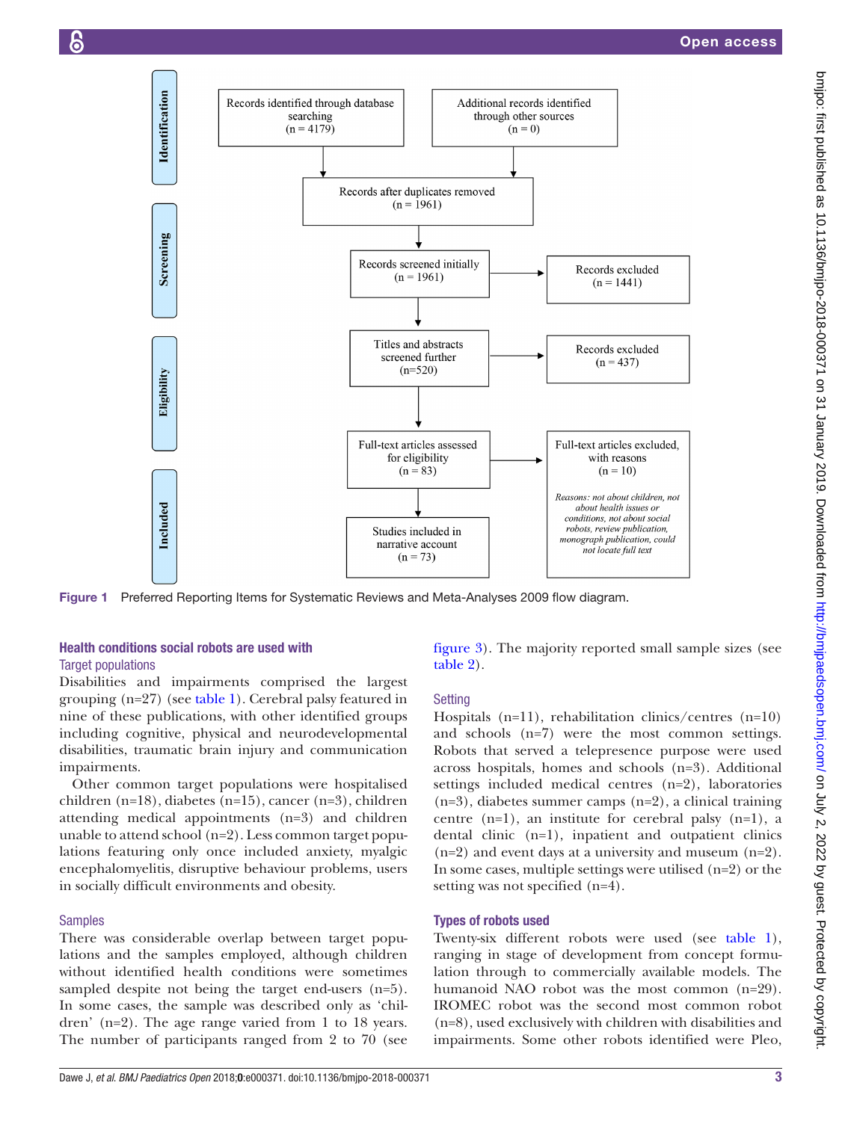

<span id="page-2-0"></span>Figure 1 Preferred Reporting Items for Systematic Reviews and Meta-Analyses 2009 flow diagram.

## Health conditions social robots are used with Target populations

Disabilities and impairments comprised the largest grouping (n=27) (see [table](#page-3-0) 1). Cerebral palsy featured in nine of these publications, with other identified groups including cognitive, physical and neurodevelopmental disabilities, traumatic brain injury and communication impairments.

Other common target populations were hospitalised children (n=18), diabetes (n=15), cancer (n=3), children attending medical appointments (n=3) and children unable to attend school (n=2). Less common target populations featuring only once included anxiety, myalgic encephalomyelitis, disruptive behaviour problems, users in socially difficult environments and obesity.

## **Samples**

There was considerable overlap between target populations and the samples employed, although children without identified health conditions were sometimes sampled despite not being the target end-users (n=5). In some cases, the sample was described only as 'children' (n=2). The age range varied from 1 to 18 years. The number of participants ranged from 2 to 70 (see

[figure](#page-12-0) 3). The majority reported small sample sizes (see [table](#page-7-0) 2).

## **Setting**

Hospitals (n=11), rehabilitation clinics/centres (n=10) and schools (n=7) were the most common settings. Robots that served a telepresence purpose were used across hospitals, homes and schools (n=3). Additional settings included medical centres (n=2), laboratories (n=3), diabetes summer camps (n=2), a clinical training centre (n=1), an institute for cerebral palsy (n=1), a dental clinic (n=1), inpatient and outpatient clinics (n=2) and event days at a university and museum (n=2). In some cases, multiple settings were utilised (n=2) or the setting was not specified (n=4).

## Types of robots used

Twenty-six different robots were used (see [table](#page-3-0) 1), ranging in stage of development from concept formulation through to commercially available models. The humanoid NAO robot was the most common (n=29). IROMEC robot was the second most common robot (n=8), used exclusively with children with disabilities and impairments. Some other robots identified were Pleo,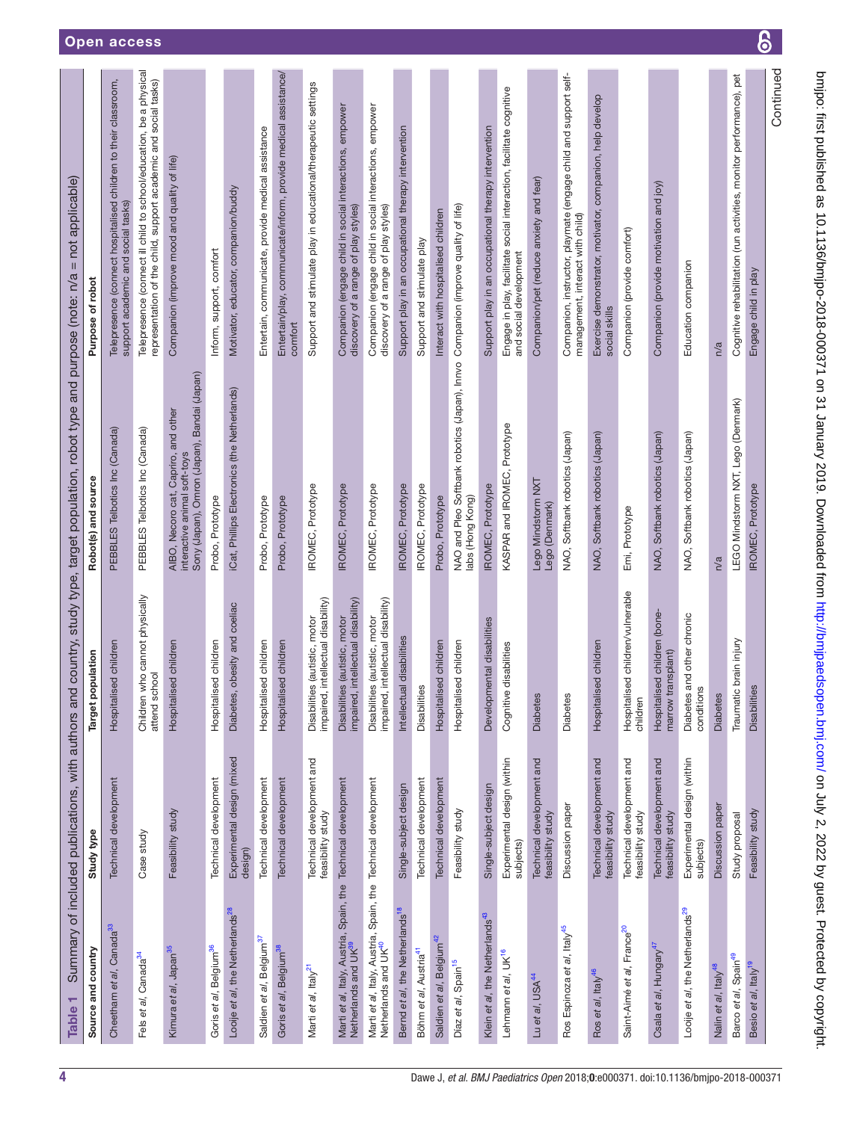| ٣<br><b>Table</b>                                                                                | Summary of included publications, with authors an |                                                                     | d country, study type, target population, robot type and purpose (note: n/a                                         | = not applicable)                                                                                                                     |
|--------------------------------------------------------------------------------------------------|---------------------------------------------------|---------------------------------------------------------------------|---------------------------------------------------------------------------------------------------------------------|---------------------------------------------------------------------------------------------------------------------------------------|
| Source and country                                                                               | Study type                                        | Target population                                                   | Robot(s) and source                                                                                                 | Purpose of robot                                                                                                                      |
| Cheetham et al, Canada <sup>33</sup>                                                             | Technical development                             | ised children<br>Hospital                                           | PEBBLES Telbotics Inc (Canada)                                                                                      | Telepresence (connect hospitalised children to their classroom,<br>support academic and social tasks)                                 |
| Fels et al, Canada <sup>34</sup>                                                                 | Case study                                        | Children who cannot physically<br>attend school                     | PEBBLES Telbotics Inc (Canada)                                                                                      | Telepresence (connect ill child to school/education, be a physical<br>representation of the child, support academic and social tasks) |
| Kimura et al, Japan <sup>36</sup>                                                                | Feasibility study                                 | Hospitalised children                                               | Sony (Japan), Omron (Japan), Bandai (Japan)<br>AIBO, Necoro cat, Capriro, and other<br>interactive animal soft-toys | Companion (improve mood and quality of life)                                                                                          |
| Goris et al, Belgium <sup>36</sup>                                                               | Technical development                             | Hospitalised children                                               | Probo, Prototype                                                                                                    | Inform, support, comfort                                                                                                              |
| Looije et al, the Netherlands <sup>28</sup>                                                      | Experimental design (mixed<br>design)             | Diabetes, obesity and coeliac                                       | iCat, Phillips Electronics (the Netherlands)                                                                        | Motivator, educator, companion/buddy                                                                                                  |
| Saldien et al, Belgium <sup>37</sup>                                                             | Technical development                             | Hospitalised children                                               | Probo, Prototype                                                                                                    | Entertain, communicate, provide medical assistance                                                                                    |
| Goris et al, Belgium <sup>38</sup>                                                               | Technical development                             | Hospitalised children                                               | Probo, Prototype                                                                                                    | Entertain/play, communicate/inform, provide medical assistance/<br>comfort                                                            |
| Marti et al, Italy <sup>21</sup>                                                                 | Technical development and<br>feasibility study    | Disabilities (autistic, motor<br>impaired, intellectual disability) | <b>IROMEC, Prototype</b>                                                                                            | Support and stimulate play in educational/therapeutic settings                                                                        |
| Marti et al, Italy, Austria, Spain, the Technical development<br>Netherlands and UK <sup>3</sup> |                                                   | impaired, intellectual disability)<br>Disabilities (autistic, motor | <b>IROMEC, Prototype</b>                                                                                            | Companion (engage child in social interactions, empower<br>discovery of a range of play styles)                                       |
| Marti et al, Italy, Austria, Spain, the<br>Netherlands and UK <sup>40</sup>                      | Technical development                             | impaired, intellectual disability)<br>Disabilities (autistic, motor | <b>IROMEC, Prototype</b>                                                                                            | Companion (engage child in social interactions, empower<br>discovery of a range of play styles)                                       |
| Bernd et al, the Netherlands <sup>18</sup>                                                       | Single-subject design                             | Intellectual disabilities                                           | <b>IROMEC, Prototype</b>                                                                                            | Support play in an occupational therapy intervention                                                                                  |
| Böhm et al, Austria <sup>41</sup>                                                                | Technical development                             | Disabilities                                                        | IROMEC, Prototype                                                                                                   | Support and stimulate play                                                                                                            |
| Saldien et al, Belgium <sup>42</sup>                                                             | Technical development                             | ised children<br>Hospital                                           | Probo, Prototype                                                                                                    | Interact with hospitalised children                                                                                                   |
| Díaz et al, Spain <sup>15</sup>                                                                  | Feasibility study                                 | Hospitalised children                                               | NAO and Pleo Softbank robotics (Japan), Innvo Companion (improve quality of life)<br>labs (Hong Kong)               |                                                                                                                                       |
| Klein et al, the Netherlands <sup>43</sup>                                                       | Single-subject design                             | mental disabilities<br>Develop                                      | IROMEC, Prototype                                                                                                   | Support play in an occupational therapy intervention                                                                                  |
| Lehmann et al, UK <sup>16</sup>                                                                  | Experimental design (within<br>subjects)          | Cognitive disabilities                                              | KASPAR and IROMEC, Prototype                                                                                        | Engage in play, facilitate social interaction, facilitate cognitive<br>and social development                                         |
| Lu et al, USA <sup>44</sup>                                                                      | Technical development and<br>feasibility study    | <b>Diabetes</b>                                                     | Lego Mindstorm NXT<br>Lego (Denmark)                                                                                | Companion/pet (reduce anxiety and fear)                                                                                               |
| Ros Espinoza et al, Italy <sup>45</sup>                                                          | Discussion paper                                  | <b>Diabetes</b>                                                     | NAO, Softbank robotics (Japan)                                                                                      | Companion, instructor, playmate (engage child and support self-<br>management, interact with child)                                   |
| Ros et al, Italy <sup>46</sup>                                                                   | Technical development and<br>feasibility study    | ised children<br>Hospital                                           | NAO, Softbank robotics (Japan)                                                                                      | Exercise demonstrator, motivator, companion, help develop<br>social skills                                                            |
| Saint-Aimé et al, France <sup>20</sup>                                                           | Technical development and<br>feasibility study    | Hospitalised children/vulnerable<br>children                        | Emi, Prototype                                                                                                      | Companion (provide comfort)                                                                                                           |
| Csala et al, Hungary <sup>4</sup>                                                                | Technical development and<br>feasibility study    | Hospitalised children (bone-<br>marrow transplant)                  | NAO, Softbank robotics (Japan)                                                                                      | Companion (provide motivation and joy)                                                                                                |
| Looije et al, the Netherlands <sup>29</sup>                                                      | Experimental design (within<br>subjects)          | and other chronic<br>conditions<br><b>Diabetes</b>                  | NAO, Softbank robotics (Japan)                                                                                      | Education companion                                                                                                                   |
| Nalin et al, Italy <sup>48</sup>                                                                 | Discussion paper                                  | <b>Diabetes</b>                                                     | n/a                                                                                                                 | n/a                                                                                                                                   |
| Barco et al, Spain <sup>49</sup>                                                                 | Study proposal                                    | Traumatic brain injury                                              | LEGO Mindstorm NXT, Lego (Denmark)                                                                                  | Cognitive rehabilitation (run activities, monitor performance), pet                                                                   |
| Besio et al, Italy <sup>19</sup>                                                                 | Feasibility study                                 | <b>Disabilities</b>                                                 | <b>IROMEC, Prototype</b>                                                                                            | Engage child in play                                                                                                                  |
|                                                                                                  |                                                   |                                                                     |                                                                                                                     | Continued                                                                                                                             |

<span id="page-3-0"></span>4 Dawe J, *et al*. *BMJ Paediatrics Open* 2018;0:e000371. doi:10.1136/bmjpo-2018-000371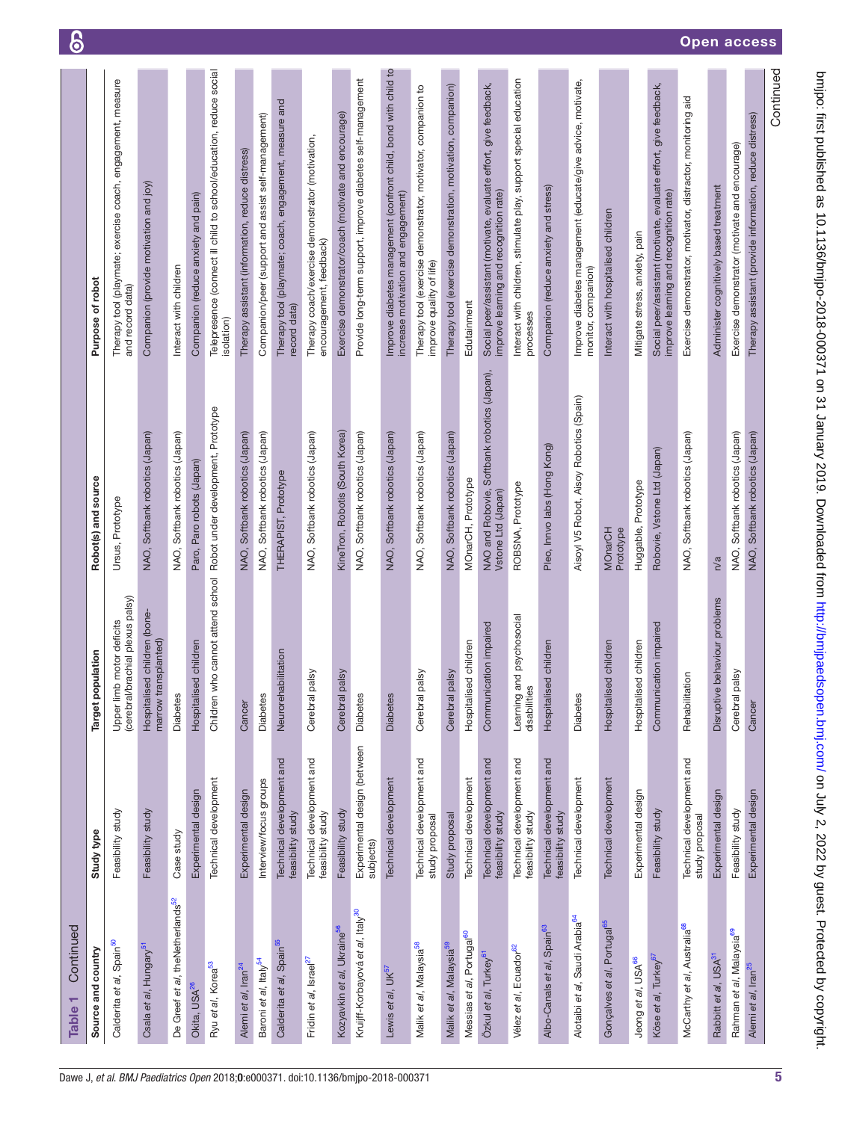| Continued<br>Table <sub>1</sub>              |                                                |                                                               |                                                                      |                                                                                                            |
|----------------------------------------------|------------------------------------------------|---------------------------------------------------------------|----------------------------------------------------------------------|------------------------------------------------------------------------------------------------------------|
| Source and country                           | Study type                                     | Target population                                             | Robot(s) and source                                                  | Purpose of robot                                                                                           |
| Calderita et al, Spain <sup>50</sup>         | Feasibility study                              | (cerebral/brachial plexus palsy)<br>Upper limb motor deficits | Ursus, Prototype                                                     | Therapy tool (playmate; exercise coach, engagement, measure<br>and record data)                            |
| Csala et a/, Hungary <sup>51</sup>           | Feasibility study                              | Hospitalised children (bone-<br>marrow transplanted)          | NAO, Softbank robotics (Japan)                                       | Companion (provide motivation and joy)                                                                     |
| De Greef et al, theNetherlands <sup>52</sup> | Case study                                     | <b>Diabetes</b>                                               | NAO, Softbank robotics (Japan)                                       | Interact with children                                                                                     |
| Okita, USA <sup>26</sup>                     | Experimental design                            | Hospitalised children                                         | Paro, Paro robots (Japan)                                            | Companion (reduce anxiety and pain)                                                                        |
| Ryu et al, Korea <sup>53</sup>               | Technical development                          |                                                               | Children who cannot attend school Robot under development, Prototype | Telepresence (connect ill child to school/education, reduce social<br>isolation)                           |
| Alemi et al, Iran <sup>24</sup>              | Experimental design                            | Cancer                                                        | NAO, Softbank robotics (Japan)                                       | Therapy assistant (information, reduce distress)                                                           |
| Baroni et al, Italy <sup>54</sup>            | Interview/focus groups                         | <b>Diabetes</b>                                               | NAO, Softbank robotics (Japan)                                       | Companion/peer (support and assist self-management)                                                        |
| Calderita et al, Spain <sup>55</sup>         | Technical development and<br>feasibility study | Neurorehabilitation                                           | THERAPIST, Prototype                                                 | Therapy tool (playmate; coach, engagement, measure and<br>record data)                                     |
| Fridin et al, Israel <sup>27</sup>           | Technical development and<br>feasibility study | Cerebral palsy                                                | NAO, Softbank robotics (Japan)                                       | Therapy coach/exercise demonstrator (motivation,<br>encouragement, feedback)                               |
| Kozyavkin et a/, Ukraine <sup>56</sup>       | Feasibility study                              | Cerebral palsy                                                | KineTron, Robotis (South Korea)                                      | Exercise demonstrator/coach (motivate and encourage)                                                       |
| Kruijff-Korbayová et al, Italy <sup>30</sup> | Experimental design (between<br>subjects)      | <b>Diabetes</b>                                               | NAO, Softbank robotics (Japan)                                       | Provide long-term support, improve diabetes self-management                                                |
| Lewis et al, UK <sup>57</sup>                | Technical development                          | <b>Diabetes</b>                                               | NAO, Softbank robotics (Japan)                                       | Improve diabetes management (confront child, bond with child to<br>increase motivation and engagement)     |
| Malik et a/, Malaysia <sup>58</sup>          | Technical development and<br>study proposal    | Cerebral palsy                                                | NAO, Softbank robotics (Japan)                                       | Therapy tool (exercise demonstrator, motivator, companion to<br>improve quality of life)                   |
| Malik et al, Malaysia <sup>59</sup>          | Study proposal                                 | Cerebral palsy                                                | NAO, Softbank robotics (Japan)                                       | Therapy tool (exercise demonstration, motivation, companion)                                               |
| Messias et al, Portugal <sup>60</sup>        | Technical development                          | Hospitalised children                                         | MOnarCH, Prototype                                                   | Edutainment                                                                                                |
| Özkul et al, Turkey <sup>61</sup>            | Technical development and<br>feasibility study | Communication impaired                                        | NAO and Robovie, Softbank robotics (Japan),<br>Vstone Ltd (Japan)    | Social peer/assistant (motivate, evaluate effort, give feedback,<br>improve learning and recognition rate) |
| Vélez et al, Ecuador <sup>62</sup>           | Technical development and<br>feasibility study | Learning and psychosocial<br>disabilities                     | ROBSNA, Prototype                                                    | Interact with children, stimulate play, support special education<br>processes                             |
| Albo-Canals et al, Spain <sup>63</sup>       | Technical development and<br>feasibility study | Hospitalised children                                         | Pleo, Innvo labs (Hong Kong)                                         | Companion (reduce anxiety and stress)                                                                      |
| Alotaibi et al, Saudi Arabia <sup>64</sup>   | Technical development                          | <b>Diabetes</b>                                               | Aisoyl V5 Robot, Aisoy Robotics (Spain)                              | Improve diabetes management (educate/give advice, motivate,<br>monitor, companion)                         |
| Gonçalves et a/, Portugal <sup>65</sup>      | Technical development                          | Hospitalised children                                         | <b>MOnarCH</b><br>Prototype                                          | Interact with hospitalised children                                                                        |
| Jeong et al, USA <sup>66</sup>               | Experimental design                            | Hospitalised children                                         | Huggable, Prototype                                                  | Mitigate stress, anxiety, pain                                                                             |
| Köse et al, Turkey <sup>67</sup>             | Feasibility study                              | Communication impaired                                        | Robovie, Vstone Ltd (Japan)                                          | Social peer/assistant (motivate, evaluate effort, give feedback,<br>improve learning and recognition rate) |
| McCarthy et al, Australia <sup>68</sup>      | Technical development and<br>study proposal    | Rehabilitation                                                | NAO, Softbank robotics (Japan)                                       | Exercise demonstrator, motivator, distractor, monitoring aid                                               |
| Rabbitt et al, USA <sup>31</sup>             | Experimental design                            | behaviour problems<br>Disruptive                              | n/a                                                                  | Administer cognitively based treatment                                                                     |
| Rahman et al, Malaysia <sup>69</sup>         | Feasibility study                              | Cerebral palsy                                                | NAO, Softbank robotics (Japan)                                       | Exercise demonstrator (motivate and encourage)                                                             |
| Alemi et a/, Iran <sup>25</sup>              | Experimental design                            | Cancer                                                        | NAO, Softbank robotics (Japan)                                       | Therapy assistant (provide information, reduce distress)                                                   |
|                                              |                                                |                                                               |                                                                      | Continued                                                                                                  |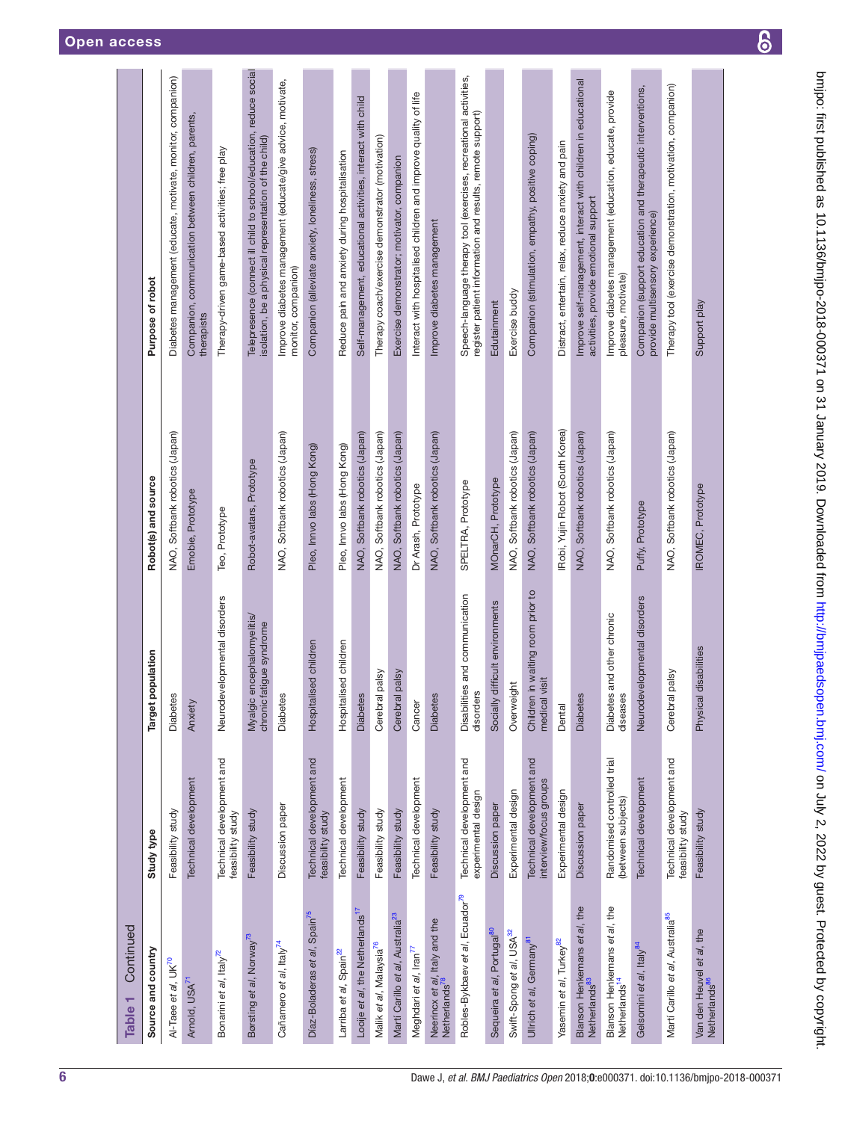| Continued<br>Table 1                                              |                                                     |                                                            |                                  |                                                                                                                                |
|-------------------------------------------------------------------|-----------------------------------------------------|------------------------------------------------------------|----------------------------------|--------------------------------------------------------------------------------------------------------------------------------|
| Source and country                                                | Study type                                          | <b>Target population</b>                                   | Robot(s) and source              | Purpose of robot                                                                                                               |
| Al-Taee et al, UK <sup>70</sup>                                   | Feasibility study                                   | <b>Diabetes</b>                                            | NAO, Softbank robotics (Japan)   | Diabetes management (educate, motivate, monitor, companion)                                                                    |
| Arnold, USA <sup>71</sup>                                         | Technical development                               | Anxiety                                                    | Emobie, Prototype                | Companion, communication between children, parents,<br>therapists                                                              |
| Bonarini et al, Italy <sup>72</sup>                               | Technical development and<br>easibility study       | Neurodevelopmental disorders                               | Teo, Prototype                   | Therapy-driven game-based activities; free play                                                                                |
| Børsting et al, Norway <sup>73</sup>                              | Feasibility study                                   | Myalgic encephalomyelitis/<br>igue syndrome<br>chronic fat | Robot-avatars, Prototype         | Telepresence (connect ill child to school/education, reduce social<br>isolation, be a physical representation of the child)    |
| Cañamero et al, Italy <sup>74</sup>                               | Discussion paper                                    | <b>Diabetes</b>                                            | NAO, Softbank robotics (Japan)   | Improve diabetes management (educate/give advice, motivate,<br>monitor, companion)                                             |
| Díaz-Boladeras et al, Spain <sup>75</sup>                         | Technical development and<br>feasibility study      | Hospitalised children                                      | Pleo, Innvo labs (Hong Kong)     | Companion (alleviate anxiety, loneliness, stress)                                                                              |
| Larriba et al, Spain <sup>22</sup>                                | Technical development                               | Hospitalised children                                      | Pleo, Innvo labs (Hong Kong)     | Reduce pain and anxiety during hospitalisation                                                                                 |
| Looije et a/, the Netherlands <sup>17</sup>                       | Feasibility study                                   | <b>Diabetes</b>                                            | NAO, Softbank robotics (Japan)   | Self-management, educational activities, interact with child                                                                   |
| Malik et al, Malaysia <sup>76</sup>                               | Feasibility study                                   | Cerebral palsy                                             | NAO, Softbank robotics (Japan)   | Therapy coach/exercise demonstrator (motivation)                                                                               |
| Martí Carillo et al, Australia <sup>23</sup>                      | Feasibility study                                   | Cerebral palsy                                             | NAO, Softbank robotics (Japan)   | Exercise demonstrator; motivator, companion                                                                                    |
| Meghdari et al, Iran <sup>77</sup>                                | Technical development                               | Cancer                                                     | Dr Arash, Prototype              | Interact with hospitalised children and improve quality of life                                                                |
| Neerincx et al, Italy and the<br>Netherlands <sup>78</sup>        | Feasibility study                                   | <b>Diabetes</b>                                            | NAO, Softbank robotics (Japan)   | Improve diabetes management                                                                                                    |
| Robles-Bykbaev et al, Ecuador <sup>79</sup>                       | Technical development and<br>experimental design    | and communication<br>Disabilities<br>disorders             | SPELTRA, Prototype               | Speech-language therapy tool (exercises, recreational activities,<br>register patient information and results, remote support) |
| Sequeira et al, Portugal <sup>80</sup>                            | Discussion paper                                    | Socially difficult environments                            | MOnarCH, Prototype               | Edutainment                                                                                                                    |
| Swift-Spong et al, USA <sup>32</sup>                              | Experimental design                                 | Overweight                                                 | NAO, Softbank robotics (Japan)   | Exercise buddy                                                                                                                 |
| Ullrich et al, Germany <sup>81</sup>                              | Technical development and<br>interview/focus groups | Children in waiting room prior to<br>medical visit         | NAO, Softbank robotics (Japan)   | Companion (stimulation, empathy, positive coping)                                                                              |
| Yasemin et al, Turkey <sup>82</sup>                               | Experimental design                                 | Dental                                                     | IRobi, Yujin Robot (South Korea) | Distract, entertain, relax, reduce anxiety and pain                                                                            |
| Blanson Henkemans et al, the<br>Netherlands <sup>83</sup>         | Discussion paper                                    | <b>Diabetes</b>                                            | NAO, Softbank robotics (Japan)   | Improve self-management, interact with children in educational<br>activities, provide emotional support                        |
| Blanson Henkemans <i>et al</i> , the<br>Netherlands <sup>14</sup> | Randomised controlled trial<br>(between subjects)   | Diabetes and other chronic<br>diseases                     | NAO, Softbank robotics (Japan)   | Improve diabetes management (education, educate, provide<br>pleasure, motivate)                                                |
| Gelsomini et al, Italy <sup>84</sup>                              | Technical development                               | Neurodevelopmental disorders                               | Puffy, Prototype                 | Companion (support education and therapeutic interventions,<br>provide multisensory experience)                                |
| Martí Carillo et al, Australia <sup>85</sup>                      | Technical development and<br>feasibility study      | Cerebral palsy                                             | NAO, Softbank robotics (Japan)   | Therapy tool (exercise demonstration, motivation, companion)                                                                   |
| Van den Heuvel et al, the<br>Netherlands <sup>86</sup>            | Feasibility study                                   | <b>lisabilities</b><br>Physical d                          | <b>IROMEC, Prototype</b>         | Support play                                                                                                                   |
|                                                                   |                                                     |                                                            |                                  |                                                                                                                                |

on July 2, 2022 by guest. Protected by copyright. <http://bmjpaedsopen.bmj.com/> bmjpo: first published as 10.1136/bmjpo-2018-000371 on 31 January 2019. Downloaded from

bmipo: first published as 10.1136/bmipo-2018-000371 on 31 January 2019. Downloaded from http://bmipaedsopen.bmj.com/ on July 2, 2022 by guest. Protected by copyright.

6 Dawe J, *et al*. *BMJ Paediatrics Open* 2018;0:e000371. doi:10.1136/bmjpo-2018-000371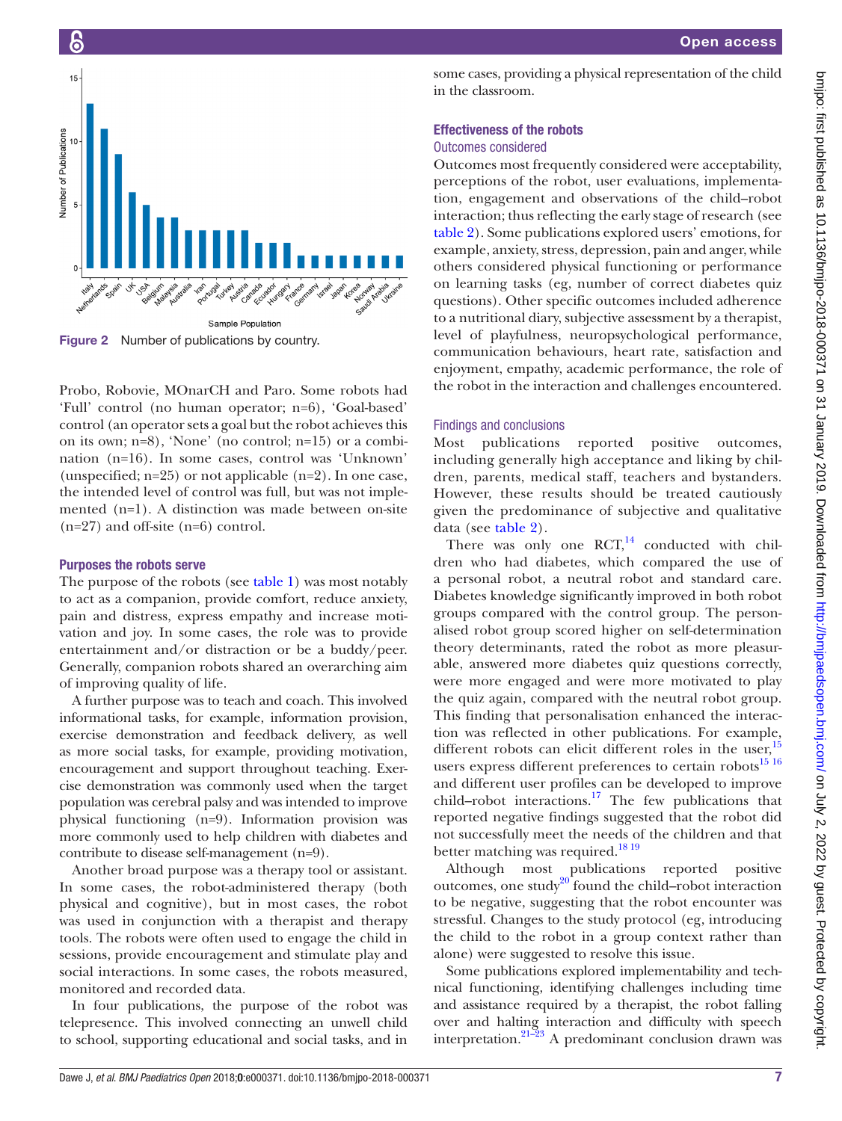

<span id="page-6-0"></span>Probo, Robovie, MOnarCH and Paro. Some robots had 'Full' control (no human operator; n=6), 'Goal-based' control (an operator sets a goal but the robot achieves this on its own; n=8), 'None' (no control; n=15) or a combination (n=16). In some cases, control was 'Unknown' (unspecified; n=25) or not applicable (n=2). In one case, the intended level of control was full, but was not implemented (n=1). A distinction was made between on-site (n=27) and off-site (n=6) control.

#### Purposes the robots serve

The purpose of the robots (see [table](#page-3-0) 1) was most notably to act as a companion, provide comfort, reduce anxiety, pain and distress, express empathy and increase motivation and joy. In some cases, the role was to provide entertainment and/or distraction or be a buddy/peer. Generally, companion robots shared an overarching aim of improving quality of life.

A further purpose was to teach and coach. This involved informational tasks, for example, information provision, exercise demonstration and feedback delivery, as well as more social tasks, for example, providing motivation, encouragement and support throughout teaching. Exercise demonstration was commonly used when the target population was cerebral palsy and was intended to improve physical functioning (n=9). Information provision was more commonly used to help children with diabetes and contribute to disease self-management (n=9).

Another broad purpose was a therapy tool or assistant. In some cases, the robot-administered therapy (both physical and cognitive), but in most cases, the robot was used in conjunction with a therapist and therapy tools. The robots were often used to engage the child in sessions, provide encouragement and stimulate play and social interactions. In some cases, the robots measured, monitored and recorded data.

In four publications, the purpose of the robot was telepresence. This involved connecting an unwell child to school, supporting educational and social tasks, and in

some cases, providing a physical representation of the child in the classroom.

## Effectiveness of the robots

#### Outcomes considered

Outcomes most frequently considered were acceptability, perceptions of the robot, user evaluations, implementation, engagement and observations of the child–robot interaction; thus reflecting the early stage of research (see [table](#page-7-0) 2). Some publications explored users' emotions, for example, anxiety, stress, depression, pain and anger, while others considered physical functioning or performance on learning tasks (eg, number of correct diabetes quiz questions). Other specific outcomes included adherence to a nutritional diary, subjective assessment by a therapist, level of playfulness, neuropsychological performance, communication behaviours, heart rate, satisfaction and enjoyment, empathy, academic performance, the role of the robot in the interaction and challenges encountered.

## Findings and conclusions

Most publications reported positive outcomes, including generally high acceptance and liking by children, parents, medical staff, teachers and bystanders. However, these results should be treated cautiously given the predominance of subjective and qualitative data (see [table](#page-7-0) 2).

There was only one  $RCT$ ,<sup>14</sup> conducted with children who had diabetes, which compared the use of a personal robot, a neutral robot and standard care. Diabetes knowledge significantly improved in both robot groups compared with the control group. The personalised robot group scored higher on self-determination theory determinants, rated the robot as more pleasurable, answered more diabetes quiz questions correctly, were more engaged and were more motivated to play the quiz again, compared with the neutral robot group. This finding that personalisation enhanced the interaction was reflected in other publications. For example, different robots can elicit different roles in the user,<sup>[15](#page-13-6)</sup> users express different preferences to certain robots<sup>[15 16](#page-13-6)</sup> and different user profiles can be developed to improve child–robot interactions.<sup>17</sup> The few publications that reported negative findings suggested that the robot did not successfully meet the needs of the children and that better matching was required.<sup>18 19</sup>

Although most publications reported positive outcomes, one study<sup>20</sup> found the child–robot interaction to be negative, suggesting that the robot encounter was stressful. Changes to the study protocol (eg, introducing the child to the robot in a group context rather than alone) were suggested to resolve this issue.

Some publications explored implementability and technical functioning, identifying challenges including time and assistance required by a therapist, the robot falling over and halting interaction and difficulty with speech interpretation.<sup>[21–23](#page-14-7)</sup> A predominant conclusion drawn was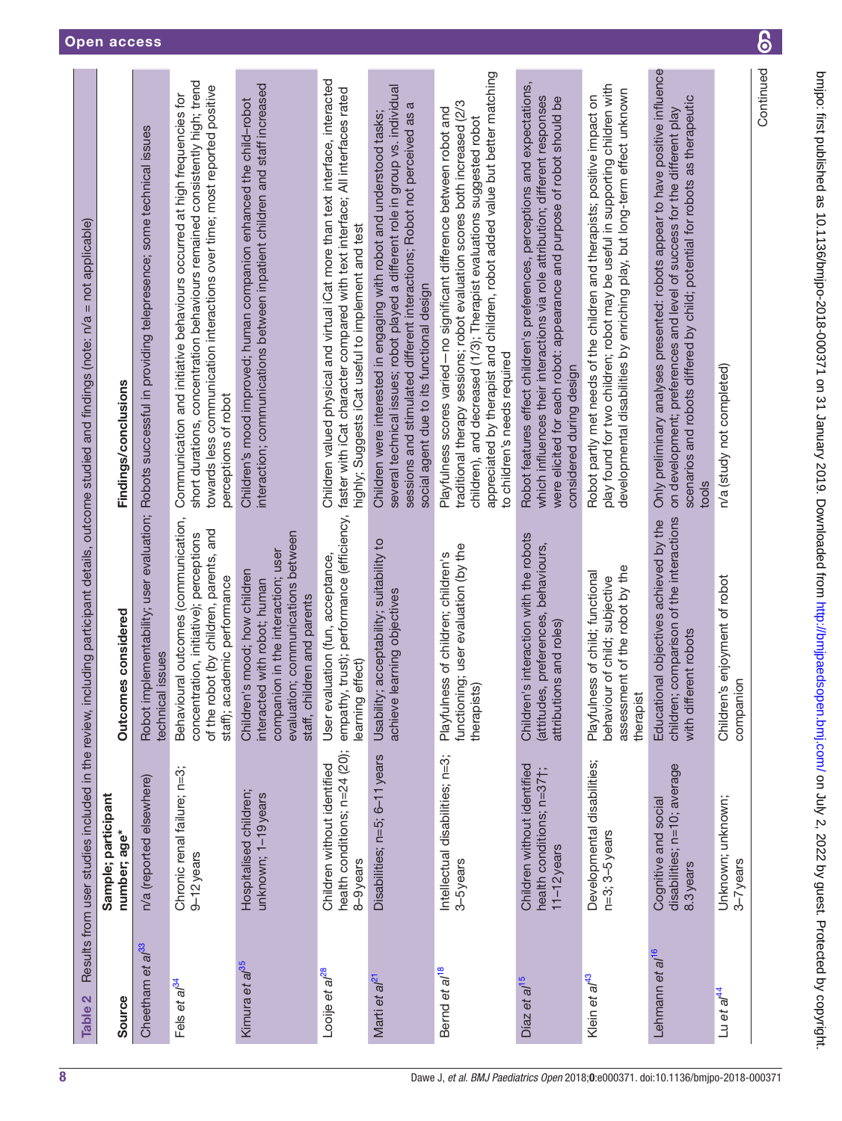<span id="page-7-0"></span>

| Table 2                      |                                                                           |                                                                                                                                                                          | Results from user studies included in the review, including participant details, outcome studied and findings (note: n/a = not applicable)                                                                                                                                                                                                  |
|------------------------------|---------------------------------------------------------------------------|--------------------------------------------------------------------------------------------------------------------------------------------------------------------------|---------------------------------------------------------------------------------------------------------------------------------------------------------------------------------------------------------------------------------------------------------------------------------------------------------------------------------------------|
| Source                       | Sample; participant<br>number; age*                                       | Outcomes considered                                                                                                                                                      | Findings/conclusions                                                                                                                                                                                                                                                                                                                        |
| Cheetham et a <sup>/33</sup> | n/a (reported elsewhere)                                                  | technical issues                                                                                                                                                         | Robot implementability; user evaluation; Robots successful in providing telepresence; some technical issues                                                                                                                                                                                                                                 |
| Fels et al <sup>34</sup>     | Chronic renal failure; n=3;<br>$9-12$ years                               | Behavioural outcomes (communication,<br>of the robot (by children, parents, and<br>concentration, initiative); perceptions<br>staff); academic performance               | short durations, concentration behaviours remained consistently high; trend<br>towards less communication interactions over time; most reported positive<br>Communication and initiative behaviours occurred at high frequencies for<br>perceptions of robot                                                                                |
| Kimura et al <sup>35</sup>   | Hospitalised children;<br>unknown; 1-19years                              | evaluation; communications between<br>companion in the interaction; user<br>Children's mood; how children<br>interacted with robot; human<br>staff, children and parents | interaction; communications between inpatient children and staff increased<br>Children's mood improved; human companion enhanced the child-robot                                                                                                                                                                                            |
| Looije et al <sup>28</sup>   | health conditions; n=24 (20);<br>Children without identified<br>8-9years  | empathy, trust); performance (efficiency,<br>User evaluation (fun, acceptance,<br>effect)<br>earning                                                                     | Children valued physical and virtual iCat more than text interface, interacted<br>faster with iCat character compared with text interface; All interfaces rated<br>highly; Suggests iCat useful to implement and test                                                                                                                       |
| Marti et a $l^{21}$          | Disabilities; n=5; 6-11 years                                             | Usability; acceptability; suitability to<br>learning objectives<br>achieve                                                                                               | several technical issues; robot played a different role in group vs. individual<br>a<br>Children were interested in engaging with robot and understood tasks;<br>sessions and stimulated different interactions; Robot not perceived as<br>social agent due to its functional design                                                        |
| Bernd et al <sup>18</sup>    | Intellectual disabilities; n=3;<br>3-5years                               | functioning; user evaluation (by the<br>ess of children; children's<br>therapists)<br>Playfuln                                                                           | appreciated by therapist and children, robot added value but better matching<br>traditional therapy sessions; robot evaluation scores both increased (2/3<br>Playfulness scores varied-no significant difference between robot and<br>children), and decreased (1/3); Therapist evaluations suggested robot<br>to children's needs required |
| Díaz et al <sup>15</sup>     | Children without identified<br>health conditions; n=37†;<br>$11-12$ years | Children's interaction with the robots<br>(attitudes, preferences, behaviours,<br>attributions and roles)                                                                | Robot features effect children's preferences, perceptions and expectations,<br>which influences their interactions via role attribution; different responses<br>were elicited for each robot: appearance and purpose of robot should be<br>considered during design                                                                         |
| Klein et al <sup>43</sup>    | Developmental disabilities;<br>$n=3$ ; $3-5$ years                        | assessment of the robot by the<br>Playfulness of child; functional<br>behaviour of child; subjective<br>therapist                                                        | play found for two children; robot may be useful in supporting children with<br>developmental disabilities by enriching play, but long-term effect unknown<br>Robot partly met needs of the children and therapists; positive impact on                                                                                                     |
| Lehmann et al <sup>16</sup>  | disabilities; n=10; average<br>Cognitive and social<br>8.3 years          | children; comparison of the interactions<br>Educational objectives achieved by the<br>erent robots<br>with diffe                                                         | Only preliminary analyses presented: robots appear to have positive influence<br>scenarios and robots differed by child; potential for robots as therapeutic<br>on development; preferences and level of success for the different play<br>tools                                                                                            |
| Lu et a $t^{44}$             | Unknown; unknown;<br>3-7 years                                            | Children's enjoyment of robot<br>companion                                                                                                                               | n/a (study not completed)                                                                                                                                                                                                                                                                                                                   |
|                              |                                                                           |                                                                                                                                                                          | Continued                                                                                                                                                                                                                                                                                                                                   |

 $\overline{6}$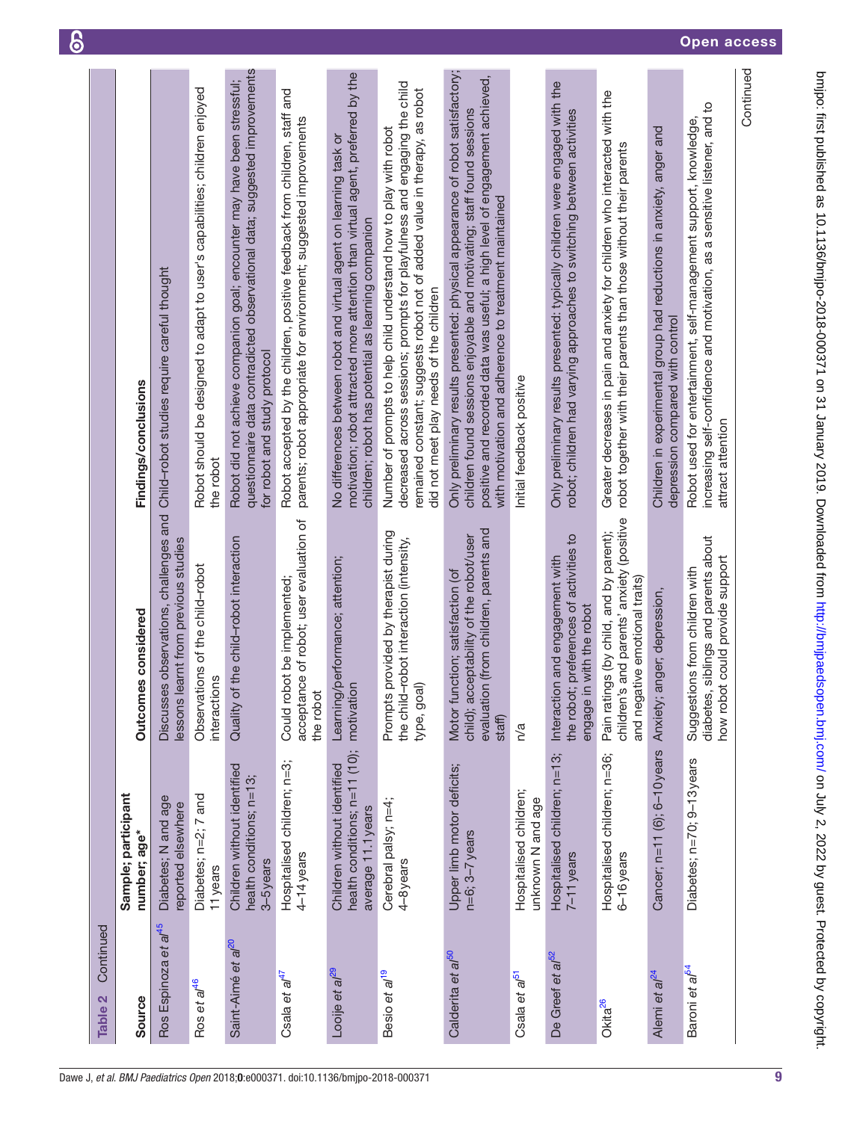| Continued<br>Table 2             |                                                                                    |                                                                                                                                 |                                                                                                                                                                                                                                                                                                  |
|----------------------------------|------------------------------------------------------------------------------------|---------------------------------------------------------------------------------------------------------------------------------|--------------------------------------------------------------------------------------------------------------------------------------------------------------------------------------------------------------------------------------------------------------------------------------------------|
| Source                           | Sample; participant<br>number; age*                                                | Outcomes considered                                                                                                             | Findings/conclusions                                                                                                                                                                                                                                                                             |
| Ros Espinoza et al <sup>45</sup> | Diabetes; N and age<br>reported elsewhere                                          | lessons learnt from previous studies<br>Discusses observations,                                                                 | challenges and Child-robot studies require careful thought                                                                                                                                                                                                                                       |
| Ros et al <sup>46</sup>          | Diabetes; n=2; 7 and<br>11 years                                                   | Observations of the child-robot<br>interactions                                                                                 | Robot should be designed to adapt to user's capabilities; children enjoyed<br>the robot                                                                                                                                                                                                          |
| Saint-Aimé et al <sup>20</sup>   | Children without identified<br>health conditions; n=13;<br>3-5 years               | Quality of the child-robot interaction                                                                                          | questionnaire data contradicted observational data; suggested improvements<br>Robot did not achieve companion goal; encounter may have been stressful;<br>for robot and study protocol                                                                                                           |
| Csala et al <sup>47</sup>        | Hospitalised children; n=3;<br>4-14 years                                          | acceptance of robot; user evaluation of<br>Could robot be implemented;<br>the robot                                             | Robot accepted by the children, positive feedback from children, staff and<br>parents; robot appropriate for environment; suggested improvements                                                                                                                                                 |
| Looije et al <sup>29</sup>       | health conditions; n=11 (10);<br>Children without identified<br>average 11.1 years | performance; attention;<br>motivation<br>Learning/                                                                              | motivation; robot attracted more attention than virtual agent, preferred by the<br>No differences between robot and virtual agent on learning task or<br>children; robot has potential as learning companion                                                                                     |
| Besio et al <sup>19</sup>        | Cerebral palsy; n=4;<br>4-8years                                                   | provided by therapist during<br>the child-robot interaction (intensity,<br>type, goal)<br><b>Prompts</b>                        | decreased across sessions; prompts for playfulness and engaging the child<br>remained constant; suggests robot not of added value in therapy, as robot<br>Number of prompts to help child understand how to play with robot<br>did not meet play needs of the children                           |
| Calderita et a/ <sup>50</sup>    | Upper limb motor deficits;<br>$n=6$ ; $3-7$ years                                  | evaluation (from children, parents and<br>child); acceptability of the robot/user<br>Motor function; satisfaction (of<br>staff) | Only preliminary results presented: physical appearance of robot satisfactory;<br>positive and recorded data was useful; a high level of engagement achieved,<br>children found sessions enjoyable and motivating; staff found sessions<br>with motivation and adherence to treatment maintained |
| Csala et al <sup>51</sup>        | Hospitalised children;<br>unknown N and age                                        | n/a                                                                                                                             | Initial feedback positive                                                                                                                                                                                                                                                                        |
| De Greef et al <sup>52</sup>     | Hospitalised children; n=13;<br>$7-11$ years                                       | preferences of activities to<br>Interaction and engagement with<br>with the robot<br>the robot;<br>engage in                    | Only preliminary results presented: typically children were engaged with the<br>robot; children had varying approaches to switching between activities                                                                                                                                           |
| Okita <sup>26</sup>              | Hospitalised children; n=36;<br>6-16 years                                         | children's and parents' anxiety (positive<br>Pain ratings (by child, and by parent);<br>and negative emotional traits)          | Greater decreases in pain and anxiety for children who interacted with the<br>robot together with their parents than those without their parents                                                                                                                                                 |
| Alemi et al <sup>24</sup>        | Cancer; n=11 (6); 6-10 years                                                       | Anxiety; anger; depression,                                                                                                     | Children in experimental group had reductions in anxiety, anger and<br>depression compared with control                                                                                                                                                                                          |
| Baroni et al <sup>54</sup>       | Diabetes; n=70; 9-13 years                                                         | siblings and parents about<br>how robot could provide support<br>Suggestions from children with<br>diabetes,                    | increasing self-confidence and motivation, as a sensitive listener, and to<br>Robot used for entertainment, self-management support, knowledge<br>attract attention                                                                                                                              |
|                                  |                                                                                    |                                                                                                                                 | Continued                                                                                                                                                                                                                                                                                        |

 $\bm{6}$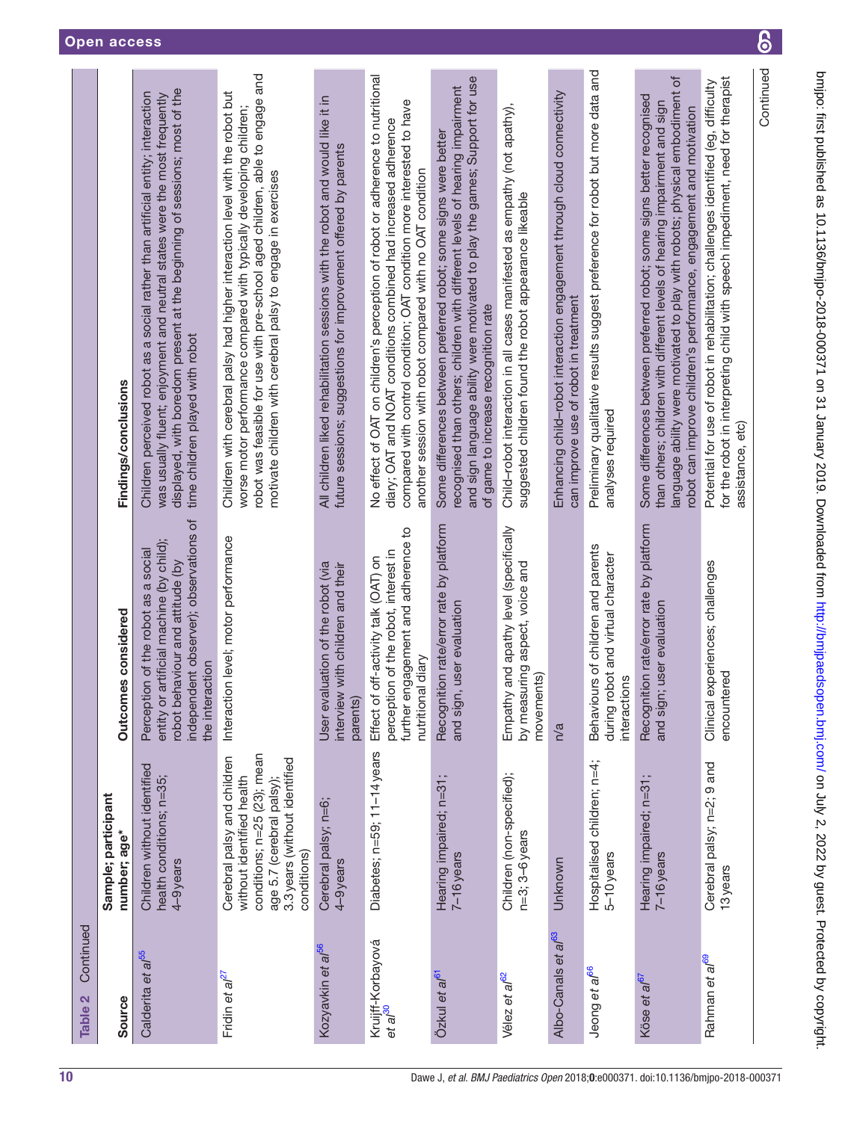| Continued<br>Table 2                     |                                                                                                                                                                      |                                                                                                                                                                                     |                                                                                                                                                                                                                                                                                                            |
|------------------------------------------|----------------------------------------------------------------------------------------------------------------------------------------------------------------------|-------------------------------------------------------------------------------------------------------------------------------------------------------------------------------------|------------------------------------------------------------------------------------------------------------------------------------------------------------------------------------------------------------------------------------------------------------------------------------------------------------|
| Source                                   | Sample; participant<br>number; age*                                                                                                                                  | Outcomes considered                                                                                                                                                                 | Findings/conclusions                                                                                                                                                                                                                                                                                       |
| Calderita et a/ <sup>55</sup>            | Children without identified<br>health conditions; n=35;<br>4-9 years                                                                                                 | independent observer); observations of<br>artificial machine (by child);<br>Perception of the robot as a social<br>robot behaviour and attitude (by<br>the interaction<br>entity or | displayed, with boredom present at the beginning of sessions; most of the<br>Children perceived robot as a social rather than artificial entity; interaction<br>was usually fluent; enjoyment and neutral states were the most frequently<br>time children played with robot                               |
| Fridin et al <sup>27</sup>               | conditions; n=25 (23); mean<br>Cerebral palsy and children<br>3.3 years (without identified<br>without identified health<br>age 5.7 (cerebral palsy);<br>conditions) | Interaction level; motor performance                                                                                                                                                | robot was feasible for use with pre-school aged children, able to engage and<br>Children with cerebral palsy had higher interaction level with the robot but<br>worse motor performance compared with typically developing children;<br>motivate children with cerebral palsy to engage in exercises       |
| Kozyavkin et al <sup>56</sup>            | Cerebral palsy; n=6;<br>4-9 years                                                                                                                                    | User evaluation of the robot (via<br>with children and their<br>interview<br>parents)                                                                                               | All children liked rehabilitation sessions with the robot and would like it in<br>future sessions; suggestions for improvement offered by parents                                                                                                                                                          |
| Kruijff-Korbayová<br>et a/ <sup>30</sup> | Diabetes; n=59; 11-14 years                                                                                                                                          | further engagement and adherence to<br>perception of the robot, interest in<br>Effect of off-activity talk (OAT) on<br>nutritional diary                                            | No effect of OAT on children's perception of robot or adherence to nutritional<br>compared with control condition; OAT condition more interested to have<br>diary; OAT and NOAT conditions combined had increased adherence<br>another session with robot compared with no OAT condition                   |
| Özkul et a/ <sup>61</sup>                | Hearing impaired; n=31;<br>7-16 years                                                                                                                                | Recognition rate/error rate by platform<br>user evaluation<br>and sign                                                                                                              | and sign language ability were motivated to play the games; Support for use<br>recognised than others; children with different levels of hearing impairment<br>Some differences between preferred robot; some signs were better<br>of game to increase recognition rate                                    |
| Vélez et al <sup>62</sup>                | Children (non-specified);<br>$n=3$ ; $3-6$ years                                                                                                                     | and apathy level (specifically<br>by measuring aspect, voice and<br>movements)<br>Empathy                                                                                           | Child-robot interaction in all cases manifested as empathy (not apathy),<br>suggested children found the robot appearance likeable                                                                                                                                                                         |
| Albo-Canals et a/ <sup>63</sup>          | Unknown                                                                                                                                                              | n/a                                                                                                                                                                                 | Enhancing child-robot interaction engagement through cloud connectivity<br>can improve use of robot in treatment                                                                                                                                                                                           |
| Jeong et al <sup>66</sup>                | Hospitalised children; n=4;<br>5-10 years                                                                                                                            | Behaviours of children and parents<br>during robot and virtual character<br>interactions                                                                                            | Preliminary qualitative results suggest preference for robot but more data and<br>analyses required                                                                                                                                                                                                        |
| Köse et a/ <sup>67</sup>                 | Hearing impaired; n=31;<br>$7-16$ years                                                                                                                              | Recognition rate/error rate by platform<br>and sign; user evaluation                                                                                                                | language ability were motivated to play with robots; physical embodiment of<br>Some differences between preferred robot; some signs better recognised<br>than others; children with different levels of hearing impairment and sign<br>robot can improve children's performance, engagement and motivation |
| Rahman et a/ <sup>69</sup>               | Cerebral palsy; n=2; 9 and<br>13 years                                                                                                                               | Clinical experiences; challenges<br>encountered                                                                                                                                     | for the robot in interpreting child with speech impediment, need for therapist<br>Potential for use of robot in rehabilitation; challenges identified (eg, difficulty<br>assistance, etc)                                                                                                                  |
|                                          |                                                                                                                                                                      |                                                                                                                                                                                     | Continued                                                                                                                                                                                                                                                                                                  |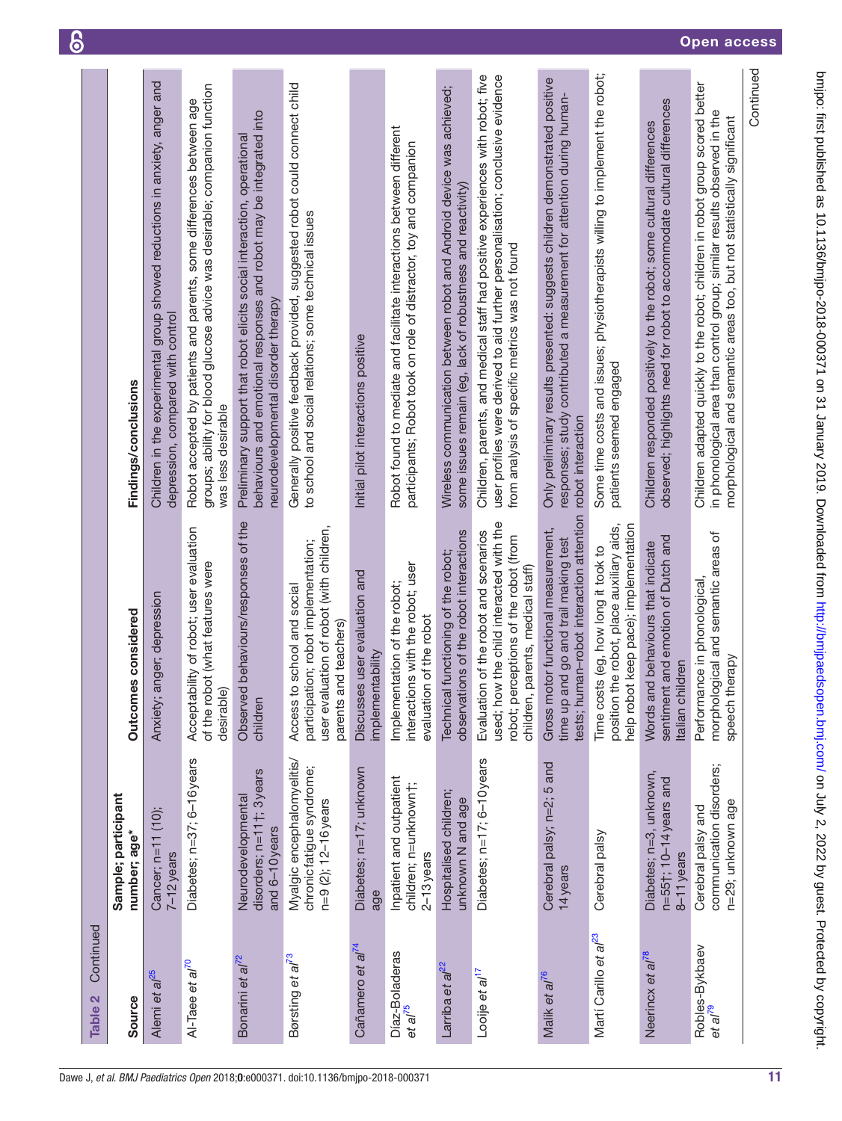| Continued<br>$\mathbf{\Omega}$<br>Table: |                                                                                 |                                                                                                                                                                |                                                                                                                                                                                                                                     |
|------------------------------------------|---------------------------------------------------------------------------------|----------------------------------------------------------------------------------------------------------------------------------------------------------------|-------------------------------------------------------------------------------------------------------------------------------------------------------------------------------------------------------------------------------------|
| Source                                   | Sample; participant<br>number; age*                                             | Outcomes considered                                                                                                                                            | Findings/conclusions                                                                                                                                                                                                                |
| Alemi et al <sup>25</sup>                | Cancer; n=11 (10);<br>7-12 years                                                | Anxiety; anger; depression                                                                                                                                     | Children in the experimental group showed reductions in anxiety, anger and<br>depression, compared with control                                                                                                                     |
| Al-Taee et al <sup>70</sup>              | Diabetes; n=37; 6-16 years                                                      | Acceptability of robot; user evaluation<br>of the robot (what features were<br>desirable)                                                                      | groups; ability for blood glucose advice was desirable; companion function<br>Robot accepted by patients and parents, some differences between age<br>was less desirable                                                            |
| Bonarini et al <sup>72</sup>             | disorders; $n=11$ +; 3 years<br>Neurodevelopmental<br>and 6-10years             | behaviours/responses of the<br>Observed<br>children                                                                                                            | behaviours and emotional responses and robot may be integrated into<br>Preliminary support that robot elicits social interaction, operational<br>neurodevelopmental disorder therapy                                                |
| Børsting et al <sup>73</sup>             | Myalgic encephalomyelitis/<br>chronic fatigue syndrome;<br>n=9 (2); 12-16 years | user evaluation of robot (with children,<br>participation; robot implementation;<br>school and social<br>parents and teachers)<br>Access to                    | Generally positive feedback provided, suggested robot could connect child<br>to school and social relations; some technical issues                                                                                                  |
| Cañamero et al <sup>74</sup>             | Diabetes; n=17; unknown<br>age                                                  | Discusses user evaluation and<br>implementability                                                                                                              | Initial pilot interactions positive                                                                                                                                                                                                 |
| Díaz-Boladeras<br>et al $^{75}$          | Inpatient and outpatient<br>children; n=unknown†;<br>2-13 years                 | interactions with the robot; user<br>Implementation of the robot;<br>of the robot<br>evaluation                                                                | Robot found to mediate and facilitate interactions between different<br>participants; Robot took on role of distractor, toy and companion                                                                                           |
| Larriba et a/ <sup>22</sup>              | Hospitalised children;<br>unknown N and age                                     | observations of the robot interactions<br>functioning of the robot;<br>Technical                                                                               | Wireless communication between robot and Android device was achieved;<br>some issues remain (eg, lack of robustness and reactivity)                                                                                                 |
| Looije et al <sup>17</sup>               | Diabetes; n=17; 6-10 years                                                      | used; how the child interacted with the<br>Evaluation of the robot and scenarios<br>robot; perceptions of the robot (from<br>children, parents, medical staff) | Children, parents, and medical staff had positive experiences with robot; five<br>user profiles were derived to aid further personalisation; conclusive evidence<br>from analysis of specific metrics was not found                 |
| Malik et al <sup>76</sup>                | Cerebral palsy; n=2; 5 and<br>14 years                                          | tests; human-robot interaction attention<br>Gross motor functional measurement,<br>time up and go and trail making test                                        | Only preliminary results presented: suggests children demonstrated positive<br>responses; study contributed a measurement for attention during human-<br>robot interaction                                                          |
| Martí Carillo et a/ <sup>23</sup>        | Cerebral palsy                                                                  | : keep pace); implementation<br>position the robot, place auxiliary aids,<br>Time costs (eg, how long it took to<br>help robot                                 | Some time costs and issues; physiotherapists willing to implement the robot;<br>patients seemed engaged                                                                                                                             |
| Neerincx et al <sup>78</sup>             | Diabetes; n=3, unknown,<br>n=55†; 10-14years and<br>8-11 years                  | and emotion of Dutch and<br>Words and behaviours that indicate<br>Italian children<br>sentiment                                                                | observed; highlights need for robot to accommodate cultural differences<br>Children responded positively to the robot; some cultural differences                                                                                    |
| Robles-Bykbaev<br>et al <sup>79</sup>    | communication disorders;<br>n=29; unknown age<br>Cerebral palsy and             | morphological and semantic areas of<br>Performance in phonological,<br>speech therapy                                                                          | Children adapted quickly to the robot; children in robot group scored better<br>in phonological area than control group; similar results observed in the<br>morphological and semantic areas too, but not statistically significant |
|                                          |                                                                                 |                                                                                                                                                                | Continued                                                                                                                                                                                                                           |

 $\epsilon$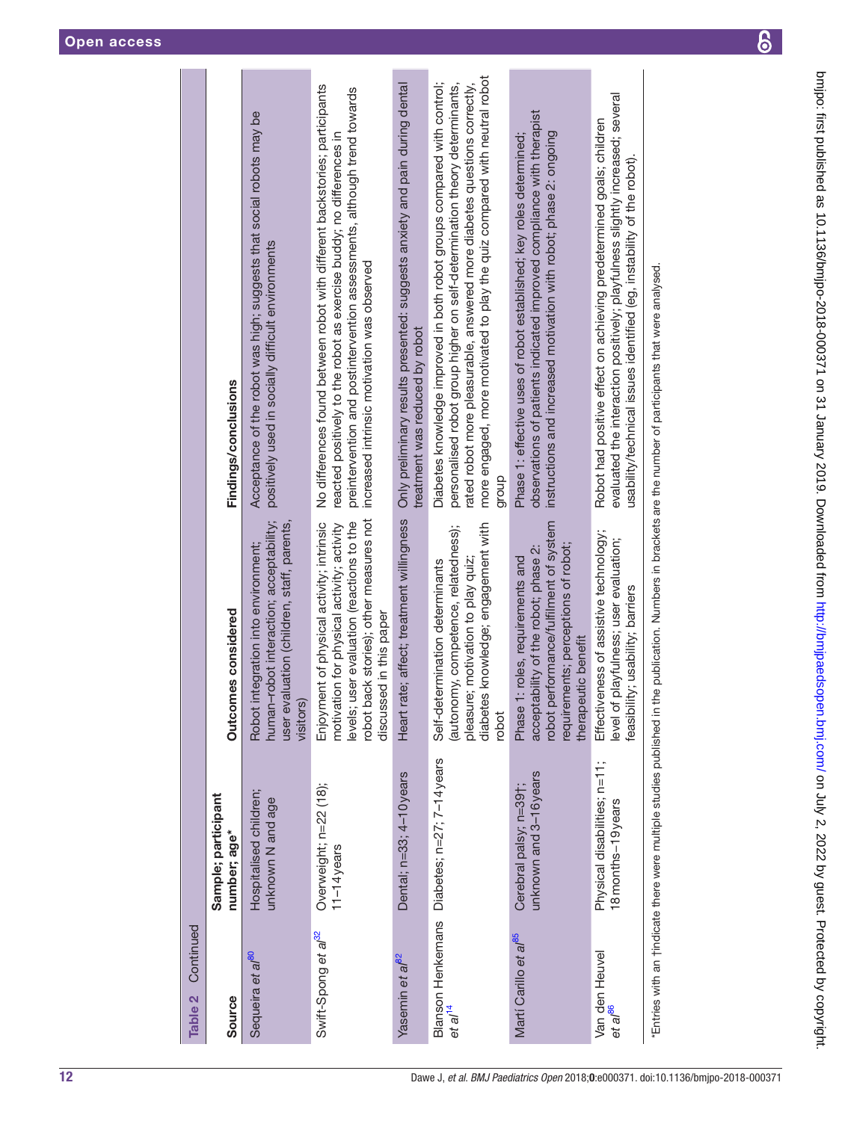| Continued<br>Table 2                  |                                                    |                                                                                                                                                                                                            |                                                                                                                                                                                                                                                                                                                          |
|---------------------------------------|----------------------------------------------------|------------------------------------------------------------------------------------------------------------------------------------------------------------------------------------------------------------|--------------------------------------------------------------------------------------------------------------------------------------------------------------------------------------------------------------------------------------------------------------------------------------------------------------------------|
| Source                                | Sample; participant<br>number; age*                | Outcomes considered                                                                                                                                                                                        | Findings/conclusions                                                                                                                                                                                                                                                                                                     |
| Sequeira et al <sup>80</sup>          | Hospitalised children;<br>unknown N and age        | human-robot interaction; acceptability;<br>user evaluation (children, staff, parents,<br>Robot integration into environment;<br>visitors)                                                                  | Acceptance of the robot was high; suggests that social robots may be<br>positively used in socially difficult environments                                                                                                                                                                                               |
| Swift-Spong et al <sup>32</sup>       | Overweight; n=22 (18);<br>$11-14$ years            | robot back stories); other measures not<br>levels; user evaluation (reactions to the<br>Enjoyment of physical activity; intrinsic<br>motivation for physical activity; activity<br>discussed in this paper | No differences found between robot with different backstories; participants<br>preintervention and postintervention assessments, although trend towards<br>reacted positively to the robot as exercise buddy; no differences in<br>increased intrinsic motivation was observed                                           |
| Yasemin et a/82                       | Dental; $n=33$ ; $4-10$ years                      | Heart rate; affect; treatment willingness                                                                                                                                                                  | Only preliminary results presented: suggests anxiety and pain during dental<br>treatment was reduced by robot                                                                                                                                                                                                            |
| $et$ al <sup>14</sup>                 | Blanson Henkemans Diabetes; n=27; 7-14 years       | diabetes knowledge; engagement with<br>(autonomy, competence, relatedness);<br>pleasure; motivation to play quiz;<br>Self-determination determinants<br>robot                                              | more engaged, more motivated to play the quiz compared with neutral robot<br>Diabetes knowledge improved in both robot groups compared with control;<br>personalised robot group higher on self-determination theory determinants,<br>rated robot more pleasurable, answered more diabetes questions correctly,<br>qroup |
| Martí Carillo et a/ <sup>85</sup>     | unknown and 3-16years<br>Cerebral palsy; n=39†;    | robot performance/fulfilment of system<br>requirements; perceptions of robot;<br>acceptability of the robot; phase 2:<br>: roles, requirements and<br>therapeutic benefit<br>Phase <sub>1</sub>            | observations of patients indicated improved compliance with therapist<br>Phase 1: effective uses of robot established; key roles determined;<br>instructions and increased motivation with robot; phase 2: ongoing                                                                                                       |
| Van den Heuvel<br>et al <sup>86</sup> | Physical disabilities; n=11;<br>18 months-19 years | Effectiveness of assistive technology;<br>playfulness; user evaluation;<br>feasibility; usability; barriers<br>level of                                                                                    | evaluated the interaction positively; playfulness slightly increased; several<br>Robot had positive effect on achieving predetermined goals; children<br>usability/technical issues identified (eg, instability of the robot).                                                                                           |
|                                       |                                                    |                                                                                                                                                                                                            | *Entries with an †indicate there were multiple studies published in the publication. Numbers in brackets are the number of participants that were analysed.                                                                                                                                                              |

 $\overline{6}$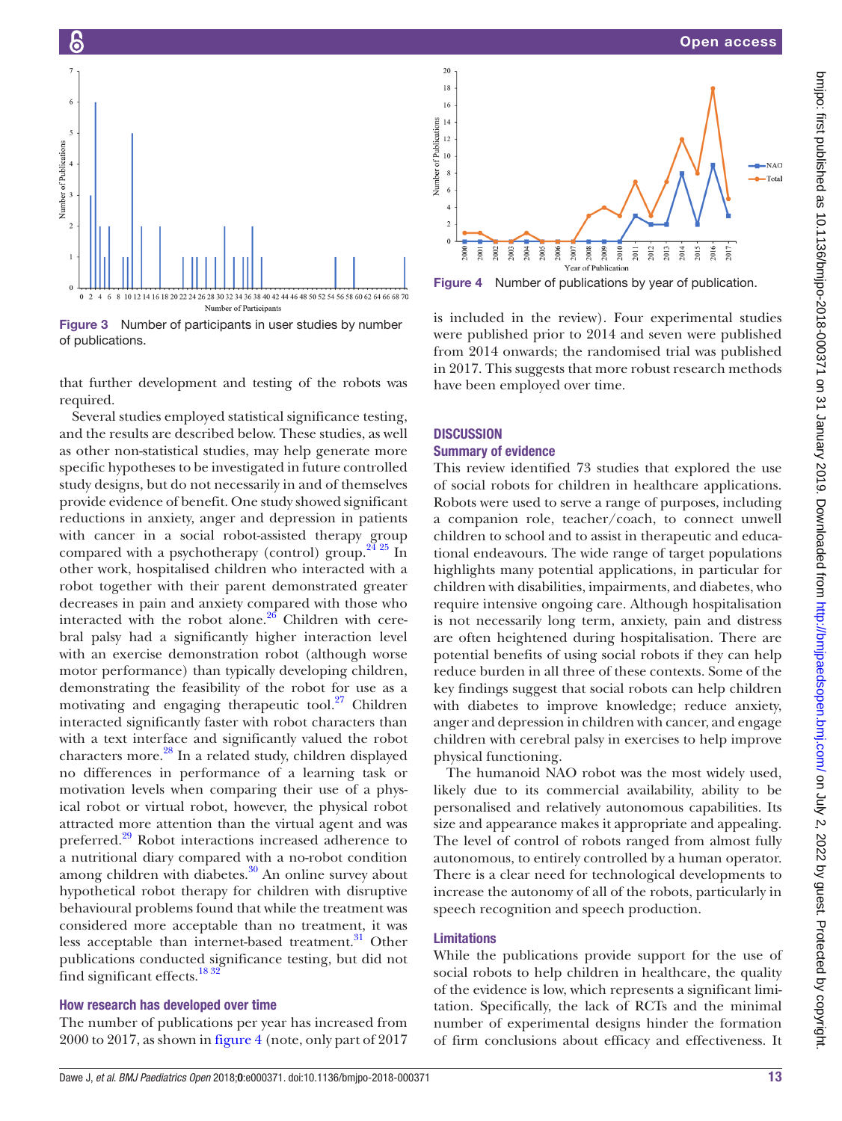

on July 2, 2022 by guest. Protected by copyright. <http://bmjpaedsopen.bmj.com/> bmjpo: first published as 10.1136/bmjpo-2018-000371 on 31 January 2019. Downloaded from

bmipo: first published as 10.1136/bmipo-2018-000371 on 31 January 2019. Downloaded from http://bmipaedsopen.bmj.com/ on July 2, 2022 by guest. Protected by copyright



<span id="page-12-0"></span>Figure 3 Number of participants in user studies by number of publications.

that further development and testing of the robots was required.

Several studies employed statistical significance testing, and the results are described below. These studies, as well as other non-statistical studies, may help generate more specific hypotheses to be investigated in future controlled study designs, but do not necessarily in and of themselves provide evidence of benefit. One study showed significant reductions in anxiety, anger and depression in patients with cancer in a social robot-assisted therapy group compared with a psychotherapy (control) group. $2425$  In other work, hospitalised children who interacted with a robot together with their parent demonstrated greater decreases in pain and anxiety compared with those who interacted with the robot alone. $26$  Children with cerebral palsy had a significantly higher interaction level with an exercise demonstration robot (although worse motor performance) than typically developing children, demonstrating the feasibility of the robot for use as a motivating and engaging therapeutic tool. $27$  Children interacted significantly faster with robot characters than with a text interface and significantly valued the robot characters more.[28](#page-14-4) In a related study, children displayed no differences in performance of a learning task or motivation levels when comparing their use of a physical robot or virtual robot, however, the physical robot attracted more attention than the virtual agent and was preferred[.29](#page-14-19) Robot interactions increased adherence to a nutritional diary compared with a no-robot condition among children with diabetes.<sup>30</sup> An online survey about hypothetical robot therapy for children with disruptive behavioural problems found that while the treatment was considered more acceptable than no treatment, it was less acceptable than internet-based treatment.<sup>31</sup> Other publications conducted significance testing, but did not find significant effects.<sup>18 32</sup>

#### How research has developed over time

The number of publications per year has increased from 2000 to 2017, as shown in [figure](#page-12-1) 4 (note, only part of 2017



<span id="page-12-1"></span>Figure 4 Number of publications by year of publication.

is included in the review). Four experimental studies were published prior to 2014 and seven were published from 2014 onwards; the randomised trial was published in 2017. This suggests that more robust research methods have been employed over time.

#### **DISCUSSION**

 $20$ 

#### Summary of evidence

This review identified 73 studies that explored the use of social robots for children in healthcare applications. Robots were used to serve a range of purposes, including a companion role, teacher/coach, to connect unwell children to school and to assist in therapeutic and educational endeavours. The wide range of target populations highlights many potential applications, in particular for children with disabilities, impairments, and diabetes, who require intensive ongoing care. Although hospitalisation is not necessarily long term, anxiety, pain and distress are often heightened during hospitalisation. There are potential benefits of using social robots if they can help reduce burden in all three of these contexts. Some of the key findings suggest that social robots can help children with diabetes to improve knowledge; reduce anxiety, anger and depression in children with cancer, and engage children with cerebral palsy in exercises to help improve physical functioning.

The humanoid NAO robot was the most widely used, likely due to its commercial availability, ability to be personalised and relatively autonomous capabilities. Its size and appearance makes it appropriate and appealing. The level of control of robots ranged from almost fully autonomous, to entirely controlled by a human operator. There is a clear need for technological developments to increase the autonomy of all of the robots, particularly in speech recognition and speech production.

## Limitations

While the publications provide support for the use of social robots to help children in healthcare, the quality of the evidence is low, which represents a significant limitation. Specifically, the lack of RCTs and the minimal number of experimental designs hinder the formation of firm conclusions about efficacy and effectiveness. It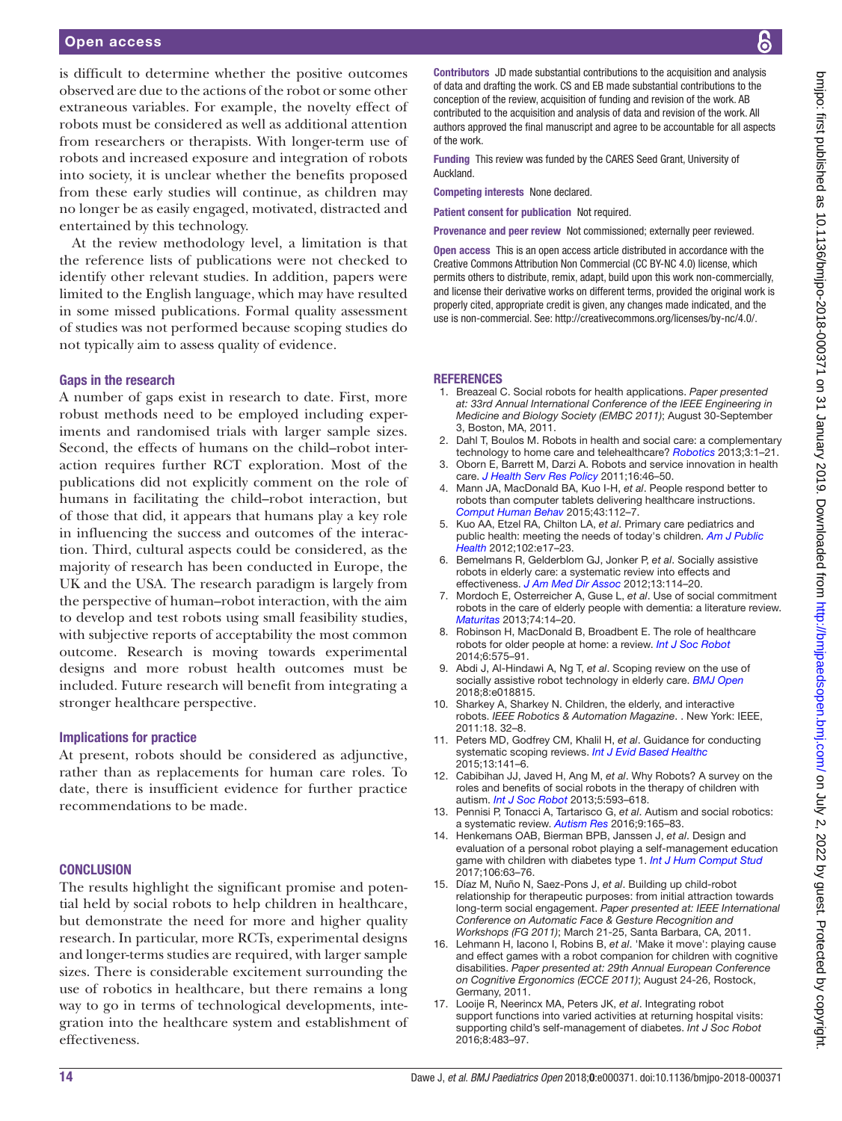is difficult to determine whether the positive outcomes observed are due to the actions of the robot or some other extraneous variables. For example, the novelty effect of robots must be considered as well as additional attention from researchers or therapists. With longer-term use of robots and increased exposure and integration of robots into society, it is unclear whether the benefits proposed from these early studies will continue, as children may no longer be as easily engaged, motivated, distracted and entertained by this technology.

At the review methodology level, a limitation is that the reference lists of publications were not checked to identify other relevant studies. In addition, papers were limited to the English language, which may have resulted in some missed publications. Formal quality assessment of studies was not performed because scoping studies do not typically aim to assess quality of evidence.

#### Gaps in the research

A number of gaps exist in research to date. First, more robust methods need to be employed including experiments and randomised trials with larger sample sizes. Second, the effects of humans on the child–robot interaction requires further RCT exploration. Most of the publications did not explicitly comment on the role of humans in facilitating the child–robot interaction, but of those that did, it appears that humans play a key role in influencing the success and outcomes of the interaction. Third, cultural aspects could be considered, as the majority of research has been conducted in Europe, the UK and the USA. The research paradigm is largely from the perspective of human–robot interaction, with the aim to develop and test robots using small feasibility studies, with subjective reports of acceptability the most common outcome. Research is moving towards experimental designs and more robust health outcomes must be included. Future research will benefit from integrating a stronger healthcare perspective.

#### Implications for practice

At present, robots should be considered as adjunctive, rather than as replacements for human care roles. To date, there is insufficient evidence for further practice recommendations to be made.

#### **CONCLUSION**

The results highlight the significant promise and potential held by social robots to help children in healthcare, but demonstrate the need for more and higher quality research. In particular, more RCTs, experimental designs and longer-terms studies are required, with larger sample sizes. There is considerable excitement surrounding the use of robotics in healthcare, but there remains a long way to go in terms of technological developments, integration into the healthcare system and establishment of effectiveness.

Contributors JD made substantial contributions to the acquisition and analysis of data and drafting the work. CS and EB made substantial contributions to the conception of the review, acquisition of funding and revision of the work. AB contributed to the acquisition and analysis of data and revision of the work. All authors approved the final manuscript and agree to be accountable for all aspects of the work.

Funding This review was funded by the CARES Seed Grant, University of Auckland.

Competing interests None declared.

Patient consent for publication Not required.

Provenance and peer review Not commissioned; externally peer reviewed.

Open access This is an open access article distributed in accordance with the Creative Commons Attribution Non Commercial (CC BY-NC 4.0) license, which permits others to distribute, remix, adapt, build upon this work non-commercially, and license their derivative works on different terms, provided the original work is properly cited, appropriate credit is given, any changes made indicated, and the use is non-commercial. See: <http://creativecommons.org/licenses/by-nc/4.0/>.

#### **REFERENCES**

- <span id="page-13-0"></span>1. Breazeal C. Social robots for health applications. *Paper presented at: 33rd Annual International Conference of the IEEE Engineering in Medicine and Biology Society (EMBC 2011)*; August 30-September 3, Boston, MA, 2011.
- 2. Dahl T, Boulos M. Robots in health and social care: a complementary technology to home care and telehealthcare? *[Robotics](http://dx.doi.org/10.3390/robotics3010001)* 2013;3:1–21.
- <span id="page-13-1"></span>3. Oborn E, Barrett M, Darzi A. Robots and service innovation in health care. *[J Health Serv Res Policy](http://dx.doi.org/10.1258/jhsrp.2010.010001)* 2011;16:46–50.
- 4. Mann JA, MacDonald BA, Kuo I-H, *et al*. People respond better to robots than computer tablets delivering healthcare instructions. *[Comput Human Behav](http://dx.doi.org/10.1016/j.chb.2014.10.029)* 2015;43:112–7.
- 5. Kuo AA, Etzel RA, Chilton LA, *et al*. Primary care pediatrics and public health: meeting the needs of today's children. *[Am J Public](http://dx.doi.org/10.2105/AJPH.2012.301013)  [Health](http://dx.doi.org/10.2105/AJPH.2012.301013)* 2012;102:e17–23.
- <span id="page-13-2"></span>6. Bemelmans R, Gelderblom GJ, Jonker P, *et al*. Socially assistive robots in elderly care: a systematic review into effects and effectiveness. *[J Am Med Dir Assoc](http://dx.doi.org/10.1016/j.jamda.2010.10.002)* 2012;13:114–20.
- 7. Mordoch E, Osterreicher A, Guse L, *et al*. Use of social commitment robots in the care of elderly people with dementia: a literature review. *[Maturitas](http://dx.doi.org/10.1016/j.maturitas.2012.10.015)* 2013;74:14–20.
- 8. Robinson H, MacDonald B, Broadbent E. The role of healthcare robots for older people at home: a review. *[Int J Soc Robot](http://dx.doi.org/10.1007/s12369-014-0242-2)* 2014;6:575–91.
- <span id="page-13-3"></span>9. Abdi J, Al-Hindawi A, Ng T, *et al*. Scoping review on the use of socially assistive robot technology in elderly care. *[BMJ Open](http://dx.doi.org/10.1136/bmjopen-2017-018815)* 2018;8:e018815.
- 10. Sharkey A, Sharkey N. Children, the elderly, and interactive robots. *[IEEE Robotics & Automation Magazine](http://dx.doi.org/10.1109/MRA.2010.940151)*. . New York: IEEE, 2011:18. 32–8.
- <span id="page-13-4"></span>11. Peters MD, Godfrey CM, Khalil H, *et al*. Guidance for conducting systematic scoping reviews. *[Int J Evid Based Healthc](http://dx.doi.org/10.1097/XEB.0000000000000050)* 2015;13:141–6.
- <span id="page-13-5"></span>12. Cabibihan JJ, Javed H, Ang M, *et al*. Why Robots? A survey on the roles and benefits of social robots in the therapy of children with autism. *[Int J Soc Robot](http://dx.doi.org/10.1007/s12369-013-0202-2)* 2013;5:593–618.
- 13. Pennisi P, Tonacci A, Tartarisco G, *et al*. Autism and social robotics: a systematic review. *[Autism Res](http://dx.doi.org/10.1002/aur.1527)* 2016;9:165–83.
- <span id="page-13-9"></span>14. Henkemans OAB, Bierman BPB, Janssen J, *et al*. Design and evaluation of a personal robot playing a self-management education game with children with diabetes type 1. *[Int J Hum Comput Stud](http://dx.doi.org/10.1016/j.ijhcs.2017.06.001)* 2017;106:63–76.
- <span id="page-13-6"></span>15. Díaz M, Nuño N, Saez-Pons J, *et al*. Building up child-robot relationship for therapeutic purposes: from initial attraction towards long-term social engagement. *Paper presented at: IEEE International Conference on Automatic Face & Gesture Recognition and Workshops (FG 2011)*; March 21-25, Santa Barbara, CA, 2011.
- <span id="page-13-7"></span>16. Lehmann H, Iacono I, Robins B, *et al*. 'Make it move': playing cause and effect games with a robot companion for children with cognitive disabilities. *Paper presented at: 29th Annual European Conference on Cognitive Ergonomics (ECCE 2011)*; August 24-26, Rostock, Germany, 2011.
- <span id="page-13-8"></span>17. Looije R, Neerincx MA, Peters JK, *et al*. Integrating robot support functions into varied activities at returning hospital visits: supporting child's self-management of diabetes. *Int J Soc Robot* 2016;8:483–97.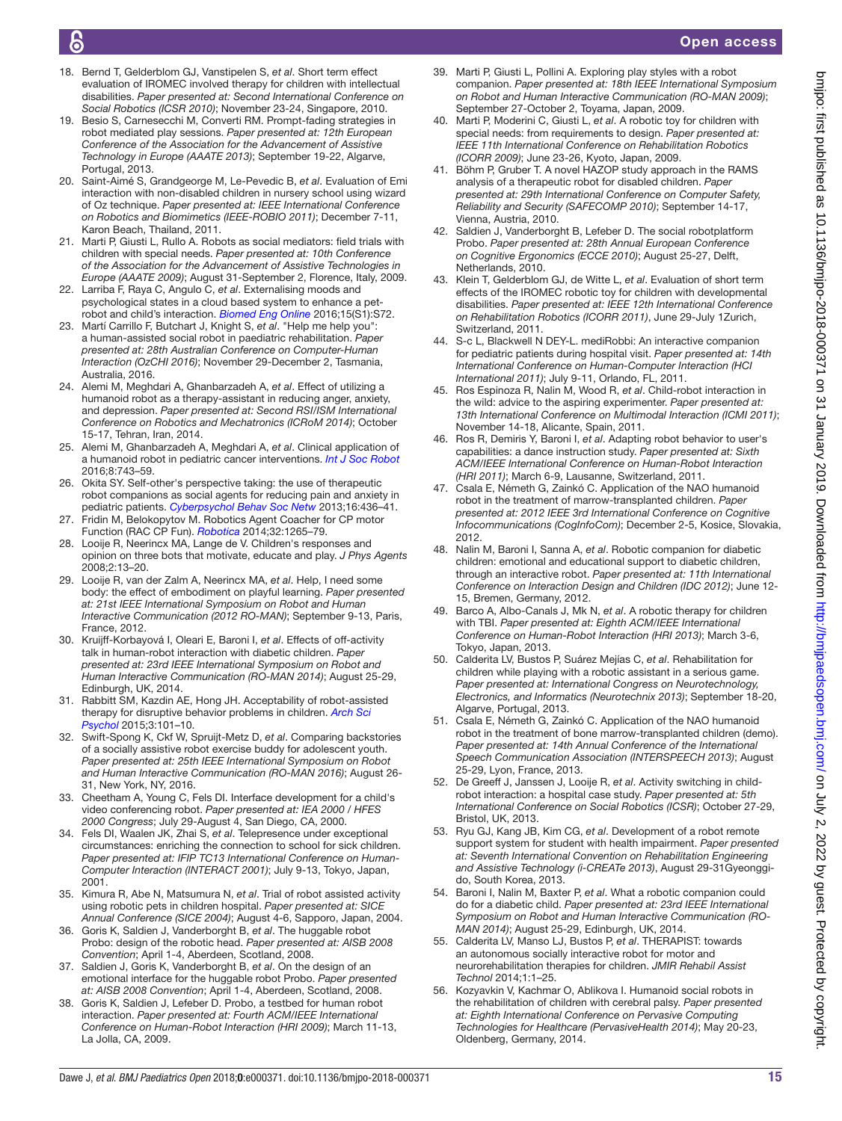## Open access

- <span id="page-14-10"></span>18. Bernd T, Gelderblom GJ, Vanstipelen S, *et al*. Short term effect evaluation of IROMEC involved therapy for children with intellectual disabilities. *Paper presented at: Second International Conference on Social Robotics (ICSR 2010)*; November 23-24, Singapore, 2010.
- <span id="page-14-22"></span>19. Besio S, Carnesecchi M, Converti RM. Prompt-fading strategies in robot mediated play sessions. *Paper presented at: 12th European Conference of the Association for the Advancement of Assistive Technology in Europe (AAATE 2013)*; September 19-22, Algarve, Portugal, 2013.
- <span id="page-14-17"></span>20. Saint-Aimé S, Grandgeorge M, Le-Pevedic B, *et al*. Evaluation of Emi interaction with non-disabled children in nursery school using wizard of Oz technique. *Paper presented at: IEEE International Conference on Robotics and Biomimetics (IEEE-ROBIO 2011)*; December 7-11, Karon Beach, Thailand, 2011.
- <span id="page-14-7"></span>21. Marti P, Giusti L, Rullo A. Robots as social mediators: field trials with children with special needs. *Paper presented at: 10th Conference of the Association for the Advancement of Assistive Technologies in Europe (AAATE 2009)*; August 31-September 2, Florence, Italy, 2009.
- <span id="page-14-36"></span>22. Larriba F, Raya C, Angulo C, *et al*. Externalising moods and psychological states in a cloud based system to enhance a petrobot and child's interaction. *[Biomed Eng Online](http://dx.doi.org/10.1186/s12938-016-0180-3)* 2016;15(S1):S72.
- <span id="page-14-37"></span>23. Martí Carrillo F, Butchart J, Knight S, *et al*. "Help me help you": a human-assisted social robot in paediatric rehabilitation. *Paper presented at: 28th Australian Conference on Computer-Human Interaction (OzCHI 2016)*; November 29-December 2, Tasmania, Australia, 2016.
- <span id="page-14-28"></span>24. Alemi M, Meghdari A, Ghanbarzadeh A, *et al*. Effect of utilizing a humanoid robot as a therapy-assistant in reducing anger, anxiety, and depression. *Paper presented at: Second RSI/ISM International Conference on Robotics and Mechatronics (ICRoM 2014)*; October 15-17, Tehran, Iran, 2014.
- <span id="page-14-35"></span>25. Alemi M, Ghanbarzadeh A, Meghdari A, *et al*. Clinical application of a humanoid robot in pediatric cancer interventions. *[Int J Soc Robot](http://dx.doi.org/10.1007/s12369-015-0294-y)* 2016;8:743–59.
- <span id="page-14-26"></span>26. Okita SY. Self-other's perspective taking: the use of therapeutic robot companions as social agents for reducing pain and anxiety in pediatric patients. *[Cyberpsychol Behav Soc Netw](http://dx.doi.org/10.1089/cyber.2012.0513)* 2013;16:436–41.
- <span id="page-14-31"></span>27. Fridin M, Belokopytov M. Robotics Agent Coacher for CP motor Function (RAC CP Fun). *[Robotica](http://dx.doi.org/10.1017/S026357471400174X)* 2014;32:1265–79.
- <span id="page-14-4"></span>28. Looije R, Neerincx MA, Lange de V. Children's responses and opinion on three bots that motivate, educate and play. *J Phys Agents* 2008;2:13–20.
- <span id="page-14-19"></span>29. Looije R, van der Zalm A, Neerincx MA, *et al*. Help, I need some body: the effect of embodiment on playful learning. *Paper presented at: 21st IEEE International Symposium on Robot and Human Interactive Communication (2012 RO-MAN)*; September 9-13, Paris, France, 2012.
- <span id="page-14-33"></span>30. Kruijff-Korbayová I, Oleari E, Baroni I, *et al*. Effects of off-activity talk in human-robot interaction with diabetic children. *Paper presented at: 23rd IEEE International Symposium on Robot and Human Interactive Communication (RO-MAN 2014)*; August 25-29, Edinburgh, UK, 2014.
- <span id="page-14-34"></span>31. Rabbitt SM, Kazdin AE, Hong JH. Acceptability of robot-assisted therapy for disruptive behavior problems in children. *[Arch Sci](http://dx.doi.org/10.1037/arc0000017)  [Psychol](http://dx.doi.org/10.1037/arc0000017)* 2015;3:101–10.
- <span id="page-14-38"></span>32. Swift-Spong K, Ckf W, Spruijt-Metz D, *et al*. Comparing backstories of a socially assistive robot exercise buddy for adolescent youth. *Paper presented at: 25th IEEE International Symposium on Robot and Human Interactive Communication (RO-MAN 2016)*; August 26- 31, New York, NY, 2016.
- <span id="page-14-0"></span>33. Cheetham A, Young C, Fels DI. Interface development for a child's video conferencing robot. *Paper presented at: IEA 2000 / HFES 2000 Congress*; July 29-August 4, San Diego, CA, 2000.
- <span id="page-14-1"></span>34. Fels DI, Waalen JK, Zhai S, *et al*. Telepresence under exceptional circumstances: enriching the connection to school for sick children. *Paper presented at: IFIP TC13 International Conference on Human-Computer Interaction (INTERACT 2001)*; July 9-13, Tokyo, Japan, 2001.
- <span id="page-14-2"></span>35. Kimura R, Abe N, Matsumura N, *et al*. Trial of robot assisted activity using robotic pets in children hospital. *Paper presented at: SICE Annual Conference (SICE 2004)*; August 4-6, Sapporo, Japan, 2004.
- <span id="page-14-3"></span>36. Goris K, Saldien J, Vanderborght B, *et al*. The huggable robot Probo: design of the robotic head. *Paper presented at: AISB 2008 Convention*; April 1-4, Aberdeen, Scotland, 2008.
- <span id="page-14-5"></span>37. Saldien J, Goris K, Vanderborght B, *et al*. On the design of an emotional interface for the huggable robot Probo. *Paper presented at: AISB 2008 Convention*; April 1-4, Aberdeen, Scotland, 2008.
- <span id="page-14-6"></span>38. Goris K, Saldien J, Lefeber D. Probo, a testbed for human robot interaction. *Paper presented at: Fourth ACM/IEEE International Conference on Human-Robot Interaction (HRI 2009)*; March 11-13, La Jolla, CA, 2009.
- <span id="page-14-8"></span>39. Marti P, Giusti L, Pollini A. Exploring play styles with a robot companion. *Paper presented at: 18th IEEE International Symposium on Robot and Human Interactive Communication (RO-MAN 2009)*; September 27-October 2, Toyama, Japan, 2009.
- <span id="page-14-9"></span>40. Marti P, Moderini C, Giusti L, *et al*. A robotic toy for children with special needs: from requirements to design. *Paper presented at: IEEE 11th International Conference on Rehabilitation Robotics (ICORR 2009)*; June 23-26, Kyoto, Japan, 2009.
- <span id="page-14-11"></span>41. Böhm P, Gruber T. A novel HAZOP study approach in the RAMS analysis of a therapeutic robot for disabled children. *Paper presented at: 29th International Conference on Computer Safety, Reliability and Security (SAFECOMP 2010)*; September 14-17, Vienna, Austria, 2010.
- <span id="page-14-12"></span>42. Saldien J, Vanderborght B, Lefeber D. The social robotplatform Probo. *Paper presented at: 28th Annual European Conference on Cognitive Ergonomics (ECCE 2010)*; August 25-27, Delft, Netherlands, 2010.
- <span id="page-14-13"></span>43. Klein T, Gelderblom GJ, de Witte L, *et al*. Evaluation of short term effects of the IROMEC robotic toy for children with developmental disabilities. *Paper presented at: IEEE 12th International Conference on Rehabilitation Robotics (ICORR 2011)*, June 29-July 1Zurich, Switzerland, 2011.
- <span id="page-14-14"></span>44. S-c L, Blackwell N DEY-L. mediRobbi: An interactive companion for pediatric patients during hospital visit. *Paper presented at: 14th International Conference on Human-Computer Interaction (HCI International 2011)*; July 9-11, Orlando, FL, 2011.
- <span id="page-14-15"></span>45. Ros Espinoza R, Nalin M, Wood R, *et al*. Child-robot interaction in the wild: advice to the aspiring experimenter. *Paper presented at: 13th International Conference on Multimodal Interaction (ICMI 2011)*; November 14-18, Alicante, Spain, 2011.
- <span id="page-14-16"></span>46. Ros R, Demiris Y, Baroni I, *et al*. Adapting robot behavior to user's capabilities: a dance instruction study. *Paper presented at: Sixth ACM/IEEE International Conference on Human-Robot Interaction (HRI 2011)*; March 6-9, Lausanne, Switzerland, 2011.
- <span id="page-14-18"></span>47. Csala E, Németh G, Zainkó C. Application of the NAO humanoid robot in the treatment of marrow-transplanted children. *Paper presented at: 2012 IEEE 3rd International Conference on Cognitive Infocommunications (CogInfoCom)*; December 2-5, Kosice, Slovakia, 2012.
- <span id="page-14-20"></span>48. Nalin M, Baroni I, Sanna A, *et al*. Robotic companion for diabetic children: emotional and educational support to diabetic children, through an interactive robot. *Paper presented at: 11th International Conference on Interaction Design and Children (IDC 2012)*; June 12- 15, Bremen, Germany, 2012.
- <span id="page-14-21"></span>49. Barco A, Albo-Canals J, Mk N, *et al*. A robotic therapy for children with TBI. *Paper presented at: Eighth ACM/IEEE International Conference on Human-Robot Interaction (HRI 2013)*; March 3-6, Tokyo, Japan, 2013.
- <span id="page-14-23"></span>50. Calderita LV, Bustos P, Suárez Mejías C, *et al*. Rehabilitation for children while playing with a robotic assistant in a serious game. *Paper presented at: International Congress on Neurotechnology, Electronics, and Informatics (Neurotechnix 2013)*; September 18-20, Algarve, Portugal, 2013.
- <span id="page-14-24"></span>51. Csala E, Németh G, Zainkó C. Application of the NAO humanoid robot in the treatment of bone marrow-transplanted children (demo). *Paper presented at: 14th Annual Conference of the International Speech Communication Association (INTERSPEECH 2013)*; August 25-29, Lyon, France, 2013.
- <span id="page-14-25"></span>52. De Greeff J, Janssen J, Looije R, *et al*. Activity switching in childrobot interaction: a hospital case study. *Paper presented at: 5th International Conference on Social Robotics (ICSR)*; October 27-29, Bristol, UK, 2013.
- <span id="page-14-27"></span>53. Ryu GJ, Kang JB, Kim CG, *et al*. Development of a robot remote support system for student with health impairment. *Paper presented at: Seventh International Convention on Rehabilitation Engineering and Assistive Technology (i-CREATe 2013)*, August 29-31Gyeonggido, South Korea, 2013.
- <span id="page-14-29"></span>54. Baroni I, Nalin M, Baxter P, *et al*. What a robotic companion could do for a diabetic child. *Paper presented at: 23rd IEEE International Symposium on Robot and Human Interactive Communication (RO-MAN 2014)*; August 25-29, Edinburgh, UK, 2014.
- <span id="page-14-30"></span>55. Calderita LV, Manso LJ, Bustos P, *et al*. THERAPIST: towards an autonomous socially interactive robot for motor and neurorehabilitation therapies for children. *JMIR Rehabil Assist Technol* 2014;1:1–25.
- <span id="page-14-32"></span>56. Kozyavkin V, Kachmar O, Ablikova I. Humanoid social robots in the rehabilitation of children with cerebral palsy. *Paper presented at: Eighth International Conference on Pervasive Computing Technologies for Healthcare (PervasiveHealth 2014)*; May 20-23, Oldenberg, Germany, 2014.